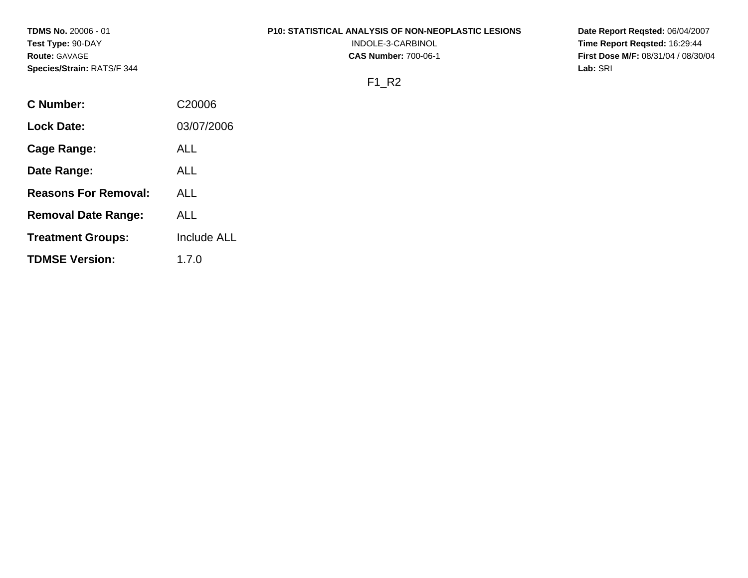**TDMS No.** 20006 - 01 **Test Type:** 90-DAY **Route:** GAVAGE **Species/Strain:** RATS/F 344

#### **P10: STATISTICAL ANALYSIS OF NON-NEOPLASTIC LESIONS**

INDOLE-3-CARBINOL **CAS Number:** 700-06-1

**Date Report Reqsted:** 06/04/2007 **Time Report Reqsted:** 16:29:44 **First Dose M/F:** 08/31/04 / 08/30/04 **Lab:** SRI

# F1\_R2

| C Number:                   | C <sub>20006</sub> |
|-----------------------------|--------------------|
| Lock Date:                  | 03/07/2006         |
| Cage Range:                 | ALL                |
| Date Range:                 | ALL                |
| <b>Reasons For Removal:</b> | ALL.               |
| <b>Removal Date Range:</b>  | AI L               |
| <b>Treatment Groups:</b>    | Include ALL        |
| <b>TDMSE Version:</b>       | 1.7.0              |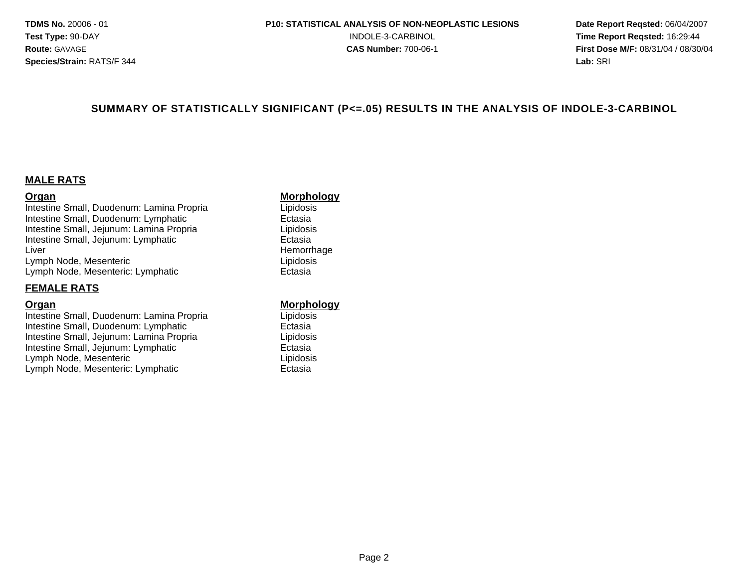#### **SUMMARY OF STATISTICALLY SIGNIFICANT (P<=.05) RESULTS IN THE ANALYSIS OF INDOLE-3-CARBINOL**

#### **MALE RATS**

**Organ Communistry Communistry of the Morphology**<br>
Intestine Small, Duodenum: Lamina Propria Communistry Chipidosis Intestine Small, Duodenum: Lamina Propria Intestine Small, Duodenum: Lymphatic<br>
Intestine Small, Jejunum: Lamina Propria<br>
Lipidosis Intestine Small, Jejunum: Lamina Propria Intestine Small, Jejunum: Lymphatic **External Extending Contact Extending Contact Extending Contact Extending Contact Extending Contact Extending Contact Extending Contact Extending Contact Extending Contact Extending Cont** Liver **Hemorrhage** Lymph Node, Mesenteric Lipidosis Lymph Node, Mesenteric: Lymphatic Ectasia

#### **FEMALE RATS**

**Organ**<br>
Intestine Small, Duodenum: Lamina Propria<br>
Lipidosis<br>
Lipidosis Intestine Small, Duodenum: Lamina Propria Intestine Small, Duodenum: Lymphatic<br>
Intestine Small, Jejunum: Lamina Propria<br>
Lipidosis Intestine Small, Jejunum: Lamina Propria Intestine Small, Jejunum: Lymphatic **Ectasia** Lymph Node, Mesenteric **Lipidosis** Lipidosis Lymph Node, Mesenteric: Lymphatic **Ectasia**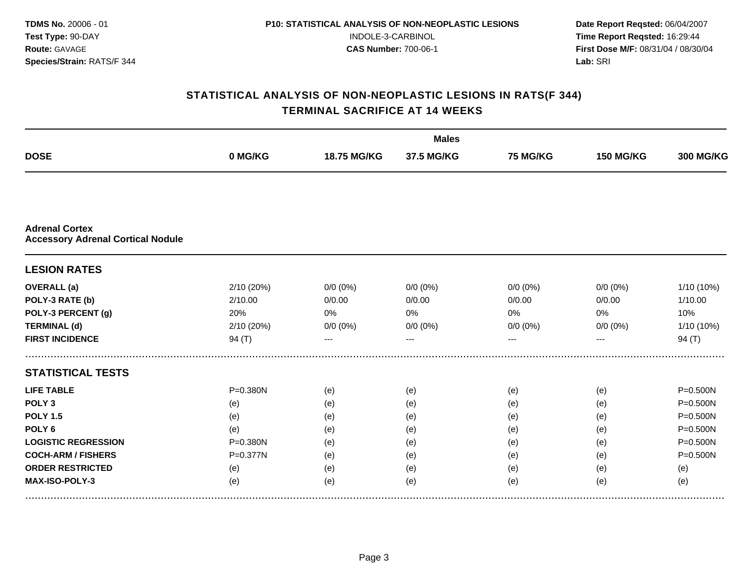|                                                                   |              |             | <b>Males</b> |             |                  |                  |
|-------------------------------------------------------------------|--------------|-------------|--------------|-------------|------------------|------------------|
| <b>DOSE</b>                                                       | 0 MG/KG      | 18.75 MG/KG | 37.5 MG/KG   | 75 MG/KG    | <b>150 MG/KG</b> | <b>300 MG/KG</b> |
|                                                                   |              |             |              |             |                  |                  |
| <b>Adrenal Cortex</b><br><b>Accessory Adrenal Cortical Nodule</b> |              |             |              |             |                  |                  |
| <b>LESION RATES</b>                                               |              |             |              |             |                  |                  |
| <b>OVERALL</b> (a)                                                | 2/10 (20%)   | $0/0 (0\%)$ | $0/0 (0\%)$  | $0/0$ (0%)  | $0/0 (0\%)$      | 1/10 (10%)       |
| POLY-3 RATE (b)                                                   | 2/10.00      | 0/0.00      | 0/0.00       | 0/0.00      | 0/0.00           | 1/10.00          |
| POLY-3 PERCENT (g)                                                | 20%          | 0%          | 0%           | 0%          | 0%               | 10%              |
| <b>TERMINAL (d)</b>                                               | 2/10 (20%)   | $0/0 (0\%)$ | $0/0 (0\%)$  | $0/0 (0\%)$ | $0/0 (0\%)$      | 1/10 (10%)       |
| <b>FIRST INCIDENCE</b>                                            | 94 $(T)$     | ---         | $- - -$      | ---         | ---              | 94 $(T)$         |
| <b>STATISTICAL TESTS</b>                                          |              |             |              |             |                  |                  |
| <b>LIFE TABLE</b>                                                 | $P = 0.380N$ | (e)         | (e)          | (e)         | (e)              | $P = 0.500N$     |
| POLY <sub>3</sub>                                                 | (e)          | (e)         | (e)          | (e)         | (e)              | P=0.500N         |
| <b>POLY 1.5</b>                                                   | (e)          | (e)         | (e)          | (e)         | (e)              | $P = 0.500N$     |
| POLY <sub>6</sub>                                                 | (e)          | (e)         | (e)          | (e)         | (e)              | P=0.500N         |
| <b>LOGISTIC REGRESSION</b>                                        | $P = 0.380N$ | (e)         | (e)          | (e)         | (e)              | $P = 0.500N$     |
| <b>COCH-ARM / FISHERS</b>                                         | P=0.377N     | (e)         | (e)          | (e)         | (e)              | $P = 0.500N$     |
| <b>ORDER RESTRICTED</b>                                           | (e)          | (e)         | (e)          | (e)         | (e)              | (e)              |
| MAX-ISO-POLY-3                                                    | (e)          | (e)         | (e)          | (e)         | (e)              | (e)              |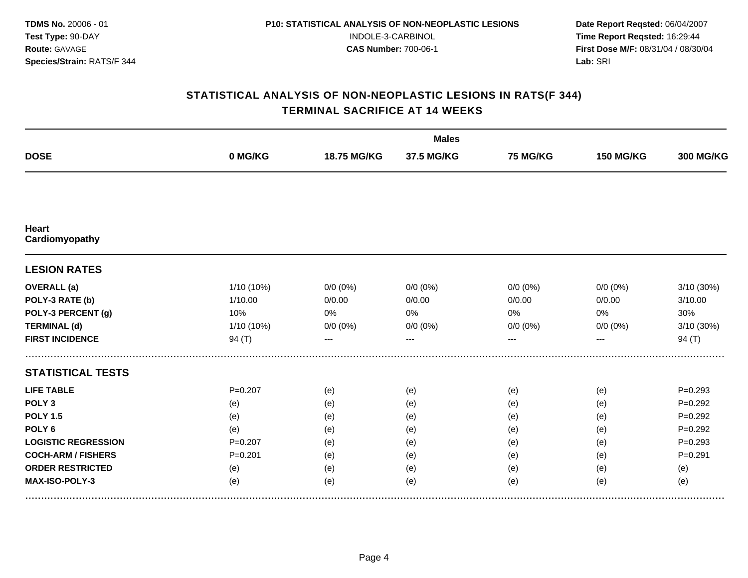|                                |             |             | <b>Males</b> |                 |                  |                  |
|--------------------------------|-------------|-------------|--------------|-----------------|------------------|------------------|
| <b>DOSE</b>                    | 0 MG/KG     | 18.75 MG/KG | 37.5 MG/KG   | <b>75 MG/KG</b> | <b>150 MG/KG</b> | <b>300 MG/KG</b> |
|                                |             |             |              |                 |                  |                  |
| <b>Heart</b><br>Cardiomyopathy |             |             |              |                 |                  |                  |
| <b>LESION RATES</b>            |             |             |              |                 |                  |                  |
| <b>OVERALL</b> (a)             | 1/10 (10%)  | $0/0 (0\%)$ | $0/0(0\%)$   | $0/0$ (0%)      | $0/0(0\%)$       | 3/10 (30%)       |
| POLY-3 RATE (b)                | 1/10.00     | 0/0.00      | 0/0.00       | 0/0.00          | 0/0.00           | 3/10.00          |
| POLY-3 PERCENT (g)             | 10%         | 0%          | 0%           | 0%              | 0%               | 30%              |
| <b>TERMINAL (d)</b>            | 1/10 (10%)  | $0/0 (0\%)$ | $0/0 (0\%)$  | $0/0 (0\%)$     | $0/0 (0\%)$      | 3/10 (30%)       |
| <b>FIRST INCIDENCE</b>         | 94 $(T)$    | $---$       | $---$        | ---             | ---              | 94 $(T)$         |
| <b>STATISTICAL TESTS</b>       |             |             |              |                 |                  |                  |
| <b>LIFE TABLE</b>              | $P = 0.207$ | (e)         | (e)          | (e)             | (e)              | $P = 0.293$      |
| POLY <sub>3</sub>              | (e)         | (e)         | (e)          | (e)             | (e)              | $P=0.292$        |
| <b>POLY 1.5</b>                | (e)         | (e)         | (e)          | (e)             | (e)              | $P = 0.292$      |
| POLY <sub>6</sub>              | (e)         | (e)         | (e)          | (e)             | (e)              | $P=0.292$        |
| <b>LOGISTIC REGRESSION</b>     | $P = 0.207$ | (e)         | (e)          | (e)             | (e)              | $P = 0.293$      |
| <b>COCH-ARM / FISHERS</b>      | $P = 0.201$ | (e)         | (e)          | (e)             | (e)              | $P = 0.291$      |
| <b>ORDER RESTRICTED</b>        | (e)         | (e)         | (e)          | (e)             | (e)              | (e)              |
| MAX-ISO-POLY-3                 | (e)         | (e)         | (e)          | (e)             | (e)              | (e)              |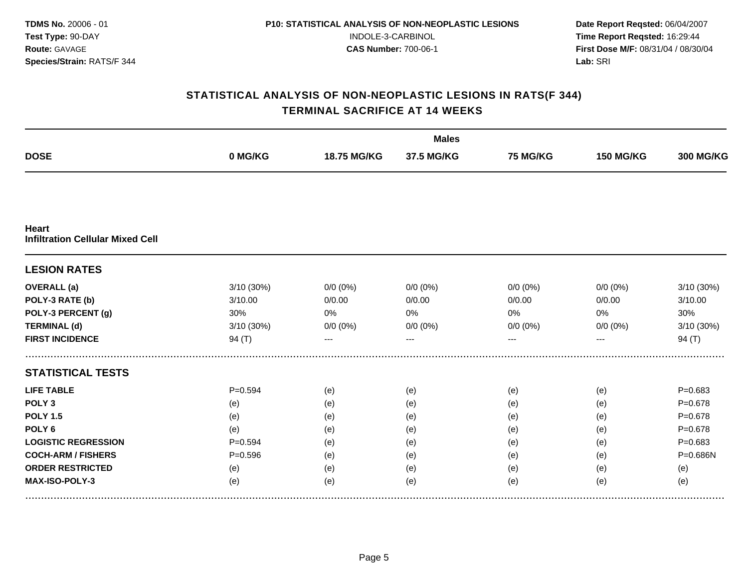|                                                         |             |             | <b>Males</b> |                 |                  |                  |
|---------------------------------------------------------|-------------|-------------|--------------|-----------------|------------------|------------------|
| <b>DOSE</b>                                             | 0 MG/KG     | 18.75 MG/KG | 37.5 MG/KG   | <b>75 MG/KG</b> | <b>150 MG/KG</b> | <b>300 MG/KG</b> |
|                                                         |             |             |              |                 |                  |                  |
| <b>Heart</b><br><b>Infiltration Cellular Mixed Cell</b> |             |             |              |                 |                  |                  |
| <b>LESION RATES</b>                                     |             |             |              |                 |                  |                  |
| <b>OVERALL</b> (a)                                      | 3/10 (30%)  | $0/0 (0\%)$ | $0/0 (0\%)$  | $0/0$ (0%)      | $0/0 (0\%)$      | 3/10 (30%)       |
| POLY-3 RATE (b)                                         | 3/10.00     | 0/0.00      | 0/0.00       | 0/0.00          | 0/0.00           | 3/10.00          |
| POLY-3 PERCENT (g)                                      | 30%         | 0%          | 0%           | 0%              | 0%               | 30%              |
| <b>TERMINAL (d)</b>                                     | 3/10 (30%)  | $0/0 (0\%)$ | $0/0 (0\%)$  | $0/0 (0\%)$     | $0/0 (0\%)$      | 3/10 (30%)       |
| <b>FIRST INCIDENCE</b>                                  | 94 $(T)$    | ---         | $---$        | ---             | ---              | 94 $(T)$         |
| <b>STATISTICAL TESTS</b>                                |             |             |              |                 |                  |                  |
| <b>LIFE TABLE</b>                                       | $P = 0.594$ | (e)         | (e)          | (e)             | (e)              | $P = 0.683$      |
| POLY <sub>3</sub>                                       | (e)         | (e)         | (e)          | (e)             | (e)              | $P = 0.678$      |
| <b>POLY 1.5</b>                                         | (e)         | (e)         | (e)          | (e)             | (e)              | $P = 0.678$      |
| POLY <sub>6</sub>                                       | (e)         | (e)         | (e)          | (e)             | (e)              | $P = 0.678$      |
| <b>LOGISTIC REGRESSION</b>                              | $P = 0.594$ | (e)         | (e)          | (e)             | (e)              | $P = 0.683$      |
| <b>COCH-ARM / FISHERS</b>                               | $P = 0.596$ | (e)         | (e)          | (e)             | (e)              | P=0.686N         |
| <b>ORDER RESTRICTED</b>                                 | (e)         | (e)         | (e)          | (e)             | (e)              | (e)              |
| MAX-ISO-POLY-3                                          | (e)         | (e)         | (e)          | (e)             | (e)              | (e)              |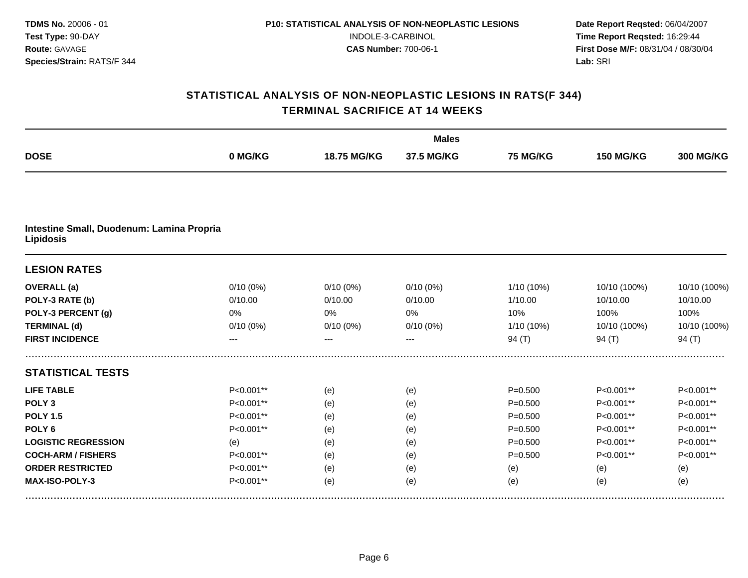|                                                               |             |             | <b>Males</b> |                 |                  |                  |
|---------------------------------------------------------------|-------------|-------------|--------------|-----------------|------------------|------------------|
| <b>DOSE</b>                                                   | 0 MG/KG     | 18.75 MG/KG | 37.5 MG/KG   | <b>75 MG/KG</b> | <b>150 MG/KG</b> | <b>300 MG/KG</b> |
|                                                               |             |             |              |                 |                  |                  |
| Intestine Small, Duodenum: Lamina Propria<br><b>Lipidosis</b> |             |             |              |                 |                  |                  |
| <b>LESION RATES</b>                                           |             |             |              |                 |                  |                  |
| <b>OVERALL</b> (a)                                            | $0/10(0\%)$ | $0/10(0\%)$ | $0/10(0\%)$  | 1/10 (10%)      | 10/10 (100%)     | 10/10 (100%)     |
| POLY-3 RATE (b)                                               | 0/10.00     | 0/10.00     | 0/10.00      | 1/10.00         | 10/10.00         | 10/10.00         |
| POLY-3 PERCENT (g)                                            | 0%          | $0\%$       | 0%           | 10%             | 100%             | 100%             |
| <b>TERMINAL (d)</b>                                           | $0/10(0\%)$ | $0/10(0\%)$ | $0/10(0\%)$  | 1/10 (10%)      | 10/10 (100%)     | 10/10 (100%)     |
| <b>FIRST INCIDENCE</b>                                        |             |             |              | 94 (T)          | 94 (T)           | 94 $(T)$         |
| <b>STATISTICAL TESTS</b>                                      |             |             |              |                 |                  |                  |
| <b>LIFE TABLE</b>                                             | P<0.001**   | (e)         | (e)          | $P = 0.500$     | P<0.001**        | P<0.001**        |
| POLY <sub>3</sub>                                             | P<0.001**   | (e)         | (e)          | $P = 0.500$     | P<0.001**        | P<0.001**        |
| <b>POLY 1.5</b>                                               | P<0.001**   | (e)         | (e)          | $P = 0.500$     | P<0.001**        | P<0.001**        |
| POLY <sub>6</sub>                                             | P<0.001**   | (e)         | (e)          | $P = 0.500$     | P<0.001**        | P<0.001**        |
| <b>LOGISTIC REGRESSION</b>                                    | (e)         | (e)         | (e)          | $P = 0.500$     | P<0.001**        | P<0.001**        |
| <b>COCH-ARM / FISHERS</b>                                     | P<0.001**   | (e)         | (e)          | $P = 0.500$     | P<0.001**        | P<0.001**        |
| <b>ORDER RESTRICTED</b>                                       | P<0.001**   | (e)         | (e)          | (e)             | (e)              | (e)              |
| MAX-ISO-POLY-3                                                | P<0.001**   | (e)         | (e)          | (e)             | (e)              | (e)              |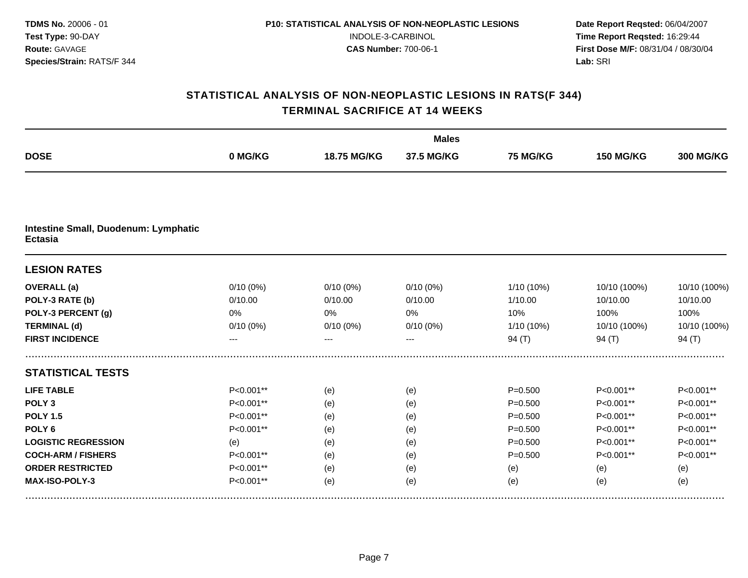|                                                        |             |             | <b>Males</b> |             |                  |                  |
|--------------------------------------------------------|-------------|-------------|--------------|-------------|------------------|------------------|
| <b>DOSE</b>                                            | 0 MG/KG     | 18.75 MG/KG | 37.5 MG/KG   | 75 MG/KG    | <b>150 MG/KG</b> | <b>300 MG/KG</b> |
|                                                        |             |             |              |             |                  |                  |
| Intestine Small, Duodenum: Lymphatic<br><b>Ectasia</b> |             |             |              |             |                  |                  |
| <b>LESION RATES</b>                                    |             |             |              |             |                  |                  |
| <b>OVERALL</b> (a)                                     | 0/10(0%)    | $0/10(0\%)$ | 0/10(0%)     | 1/10 (10%)  | 10/10 (100%)     | 10/10 (100%)     |
| POLY-3 RATE (b)                                        | 0/10.00     | 0/10.00     | 0/10.00      | 1/10.00     | 10/10.00         | 10/10.00         |
| POLY-3 PERCENT (g)                                     | 0%          | 0%          | 0%           | 10%         | 100%             | 100%             |
| <b>TERMINAL (d)</b>                                    | $0/10(0\%)$ | $0/10(0\%)$ | $0/10(0\%)$  | 1/10 (10%)  | 10/10 (100%)     | 10/10 (100%)     |
| <b>FIRST INCIDENCE</b>                                 | ---         | ---         | $---$        | 94 $(T)$    | 94 $(T)$         | 94 $(T)$         |
| <b>STATISTICAL TESTS</b>                               |             |             |              |             |                  |                  |
| <b>LIFE TABLE</b>                                      | P<0.001**   | (e)         | (e)          | $P = 0.500$ | P<0.001**        | P<0.001**        |
| POLY <sub>3</sub>                                      | P<0.001**   | (e)         | (e)          | $P = 0.500$ | P<0.001**        | P<0.001**        |
| <b>POLY 1.5</b>                                        | P<0.001**   | (e)         | (e)          | $P = 0.500$ | P<0.001**        | P<0.001**        |
| POLY <sub>6</sub>                                      | P<0.001**   | (e)         | (e)          | $P = 0.500$ | P<0.001**        | P<0.001**        |
| <b>LOGISTIC REGRESSION</b>                             | (e)         | (e)         | (e)          | $P = 0.500$ | P<0.001**        | P<0.001**        |
| <b>COCH-ARM / FISHERS</b>                              | P<0.001**   | (e)         | (e)          | $P = 0.500$ | P<0.001**        | P<0.001**        |
| <b>ORDER RESTRICTED</b>                                | P<0.001**   | (e)         | (e)          | (e)         | (e)              | (e)              |
| MAX-ISO-POLY-3                                         | P<0.001**   | (e)         | (e)          | (e)         | (e)              | (e)              |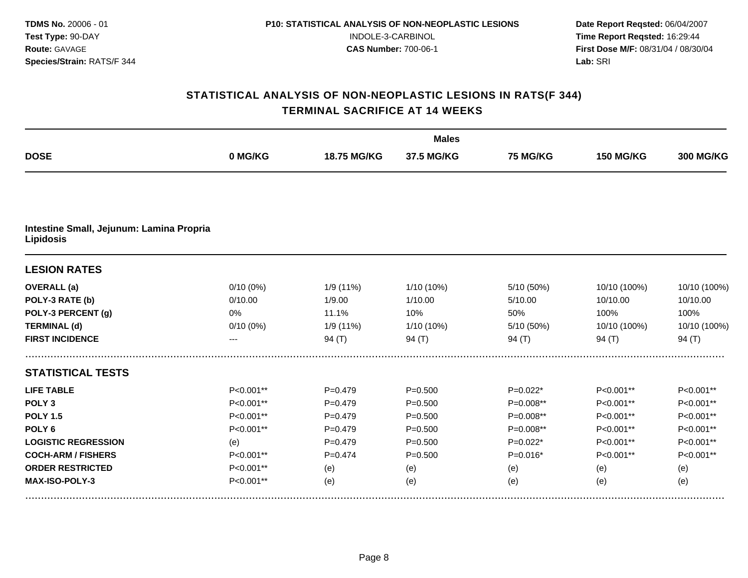|                                                              |             |             | <b>Males</b> |            |                  |                  |
|--------------------------------------------------------------|-------------|-------------|--------------|------------|------------------|------------------|
| <b>DOSE</b>                                                  | 0 MG/KG     | 18.75 MG/KG | 37.5 MG/KG   | 75 MG/KG   | <b>150 MG/KG</b> | <b>300 MG/KG</b> |
|                                                              |             |             |              |            |                  |                  |
| Intestine Small, Jejunum: Lamina Propria<br><b>Lipidosis</b> |             |             |              |            |                  |                  |
| <b>LESION RATES</b>                                          |             |             |              |            |                  |                  |
| <b>OVERALL</b> (a)                                           | 0/10(0%)    | 1/9 (11%)   | 1/10 (10%)   | 5/10 (50%) | 10/10 (100%)     | 10/10 (100%)     |
| POLY-3 RATE (b)                                              | 0/10.00     | 1/9.00      | 1/10.00      | 5/10.00    | 10/10.00         | 10/10.00         |
| POLY-3 PERCENT (g)                                           | 0%          | 11.1%       | 10%          | 50%        | 100%             | 100%             |
| <b>TERMINAL (d)</b>                                          | $0/10(0\%)$ | 1/9 (11%)   | 1/10 (10%)   | 5/10 (50%) | 10/10 (100%)     | 10/10 (100%)     |
| <b>FIRST INCIDENCE</b>                                       | ---         | 94 $(T)$    | 94 $(T)$     | 94 $(T)$   | 94 $(T)$         | 94 $(T)$         |
| <b>STATISTICAL TESTS</b>                                     |             |             |              |            |                  |                  |
| <b>LIFE TABLE</b>                                            | P<0.001**   | $P = 0.479$ | $P = 0.500$  | $P=0.022*$ | P<0.001**        | P<0.001**        |
| POLY <sub>3</sub>                                            | P<0.001**   | $P=0.479$   | $P = 0.500$  | P=0.008**  | P<0.001**        | P<0.001**        |
| <b>POLY 1.5</b>                                              | P<0.001**   | $P=0.479$   | $P = 0.500$  | P=0.008**  | P<0.001**        | P<0.001**        |
| POLY <sub>6</sub>                                            | P<0.001**   | $P=0.479$   | $P = 0.500$  | P=0.008**  | P<0.001**        | P<0.001**        |
| <b>LOGISTIC REGRESSION</b>                                   | (e)         | $P=0.479$   | $P = 0.500$  | $P=0.022*$ | $P<0.001**$      | P<0.001**        |
| <b>COCH-ARM / FISHERS</b>                                    | P<0.001**   | $P = 0.474$ | $P = 0.500$  | $P=0.016*$ | P<0.001**        | P<0.001**        |
| <b>ORDER RESTRICTED</b>                                      | P<0.001**   | (e)         | (e)          | (e)        | (e)              | (e)              |
| MAX-ISO-POLY-3                                               | P<0.001**   | (e)         | (e)          | (e)        | (e)              | (e)              |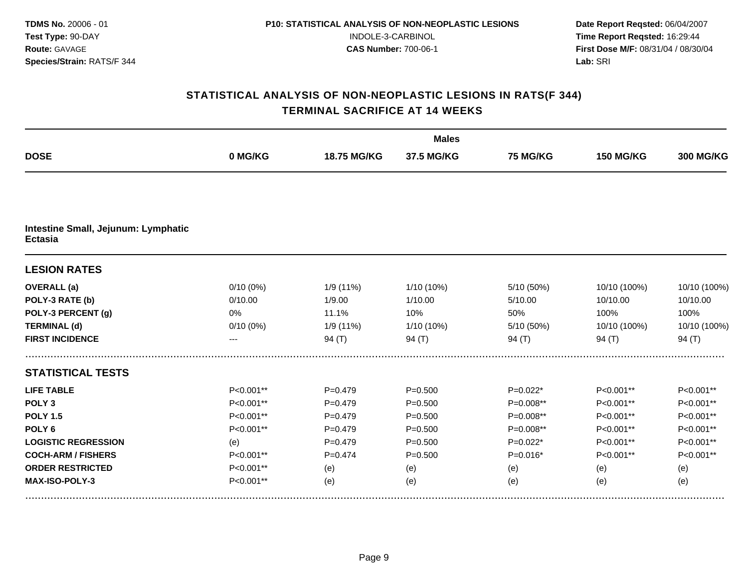|                                                       |             |             | <b>Males</b> |            |                  |                  |
|-------------------------------------------------------|-------------|-------------|--------------|------------|------------------|------------------|
| <b>DOSE</b>                                           | 0 MG/KG     | 18.75 MG/KG | 37.5 MG/KG   | 75 MG/KG   | <b>150 MG/KG</b> | <b>300 MG/KG</b> |
|                                                       |             |             |              |            |                  |                  |
| Intestine Small, Jejunum: Lymphatic<br><b>Ectasia</b> |             |             |              |            |                  |                  |
| <b>LESION RATES</b>                                   |             |             |              |            |                  |                  |
| <b>OVERALL</b> (a)                                    | 0/10(0%)    | 1/9 (11%)   | 1/10 (10%)   | 5/10 (50%) | 10/10 (100%)     | 10/10 (100%)     |
| POLY-3 RATE (b)                                       | 0/10.00     | 1/9.00      | 1/10.00      | 5/10.00    | 10/10.00         | 10/10.00         |
| POLY-3 PERCENT (g)                                    | 0%          | 11.1%       | 10%          | 50%        | 100%             | 100%             |
| <b>TERMINAL (d)</b>                                   | $0/10(0\%)$ | 1/9 (11%)   | 1/10 (10%)   | 5/10 (50%) | 10/10 (100%)     | 10/10 (100%)     |
| <b>FIRST INCIDENCE</b>                                | ---         | 94 $(T)$    | 94 $(T)$     | 94 $(T)$   | 94 $(T)$         | 94 $(T)$         |
| <b>STATISTICAL TESTS</b>                              |             |             |              |            |                  |                  |
| <b>LIFE TABLE</b>                                     | P<0.001**   | $P = 0.479$ | $P = 0.500$  | $P=0.022*$ | P<0.001**        | P<0.001**        |
| POLY <sub>3</sub>                                     | P<0.001**   | $P=0.479$   | $P = 0.500$  | P=0.008**  | P<0.001**        | P<0.001**        |
| <b>POLY 1.5</b>                                       | P<0.001**   | $P=0.479$   | $P = 0.500$  | P=0.008**  | P<0.001**        | P<0.001**        |
| POLY <sub>6</sub>                                     | P<0.001**   | $P=0.479$   | $P = 0.500$  | P=0.008**  | P<0.001**        | P<0.001**        |
| <b>LOGISTIC REGRESSION</b>                            | (e)         | $P=0.479$   | $P = 0.500$  | $P=0.022*$ | $P<0.001**$      | P<0.001**        |
| <b>COCH-ARM / FISHERS</b>                             | P<0.001**   | $P = 0.474$ | $P = 0.500$  | $P=0.016*$ | P<0.001**        | P<0.001**        |
| <b>ORDER RESTRICTED</b>                               | P<0.001**   | (e)         | (e)          | (e)        | (e)              | (e)              |
| MAX-ISO-POLY-3                                        | P<0.001**   | (e)         | (e)          | (e)        | (e)              | (e)              |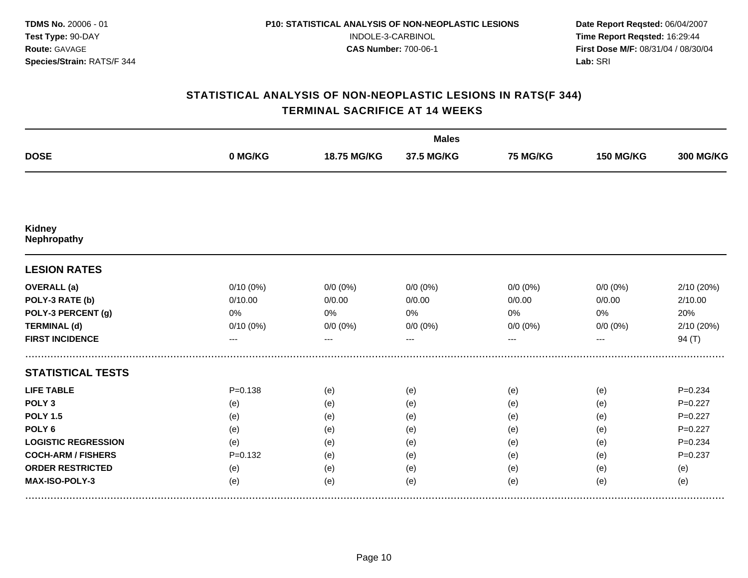|                                     |             |             | <b>Males</b> |                 |                  |                  |
|-------------------------------------|-------------|-------------|--------------|-----------------|------------------|------------------|
| <b>DOSE</b>                         | 0 MG/KG     | 18.75 MG/KG | 37.5 MG/KG   | <b>75 MG/KG</b> | <b>150 MG/KG</b> | <b>300 MG/KG</b> |
|                                     |             |             |              |                 |                  |                  |
| <b>Kidney</b><br><b>Nephropathy</b> |             |             |              |                 |                  |                  |
| <b>LESION RATES</b>                 |             |             |              |                 |                  |                  |
| <b>OVERALL</b> (a)                  | 0/10(0%)    | $0/0 (0\%)$ | $0/0(0\%)$   | $0/0 (0\%)$     | $0/0 (0\%)$      | 2/10 (20%)       |
| POLY-3 RATE (b)                     | 0/10.00     | 0/0.00      | 0/0.00       | 0/0.00          | 0/0.00           | 2/10.00          |
| POLY-3 PERCENT (g)                  | 0%          | 0%          | 0%           | 0%              | 0%               | 20%              |
| <b>TERMINAL (d)</b>                 | 0/10(0%)    | $0/0 (0\%)$ | $0/0 (0\%)$  | $0/0 (0\%)$     | $0/0 (0\%)$      | 2/10 (20%)       |
| <b>FIRST INCIDENCE</b>              | ---         | ---         | $---$        | ---             | ---              | 94(T)            |
| <b>STATISTICAL TESTS</b>            |             |             |              |                 |                  |                  |
| <b>LIFE TABLE</b>                   | $P = 0.138$ | (e)         | (e)          | (e)             | (e)              | $P = 0.234$      |
| POLY <sub>3</sub>                   | (e)         | (e)         | (e)          | (e)             | (e)              | $P=0.227$        |
| <b>POLY 1.5</b>                     | (e)         | (e)         | (e)          | (e)             | (e)              | $P=0.227$        |
| POLY <sub>6</sub>                   | (e)         | (e)         | (e)          | (e)             | (e)              | $P=0.227$        |
| <b>LOGISTIC REGRESSION</b>          | (e)         | (e)         | (e)          | (e)             | (e)              | $P = 0.234$      |
| <b>COCH-ARM / FISHERS</b>           | $P=0.132$   | (e)         | (e)          | (e)             | (e)              | $P = 0.237$      |
| <b>ORDER RESTRICTED</b>             | (e)         | (e)         | (e)          | (e)             | (e)              | (e)              |
| MAX-ISO-POLY-3                      | (e)         | (e)         | (e)          | (e)             | (e)              | (e)              |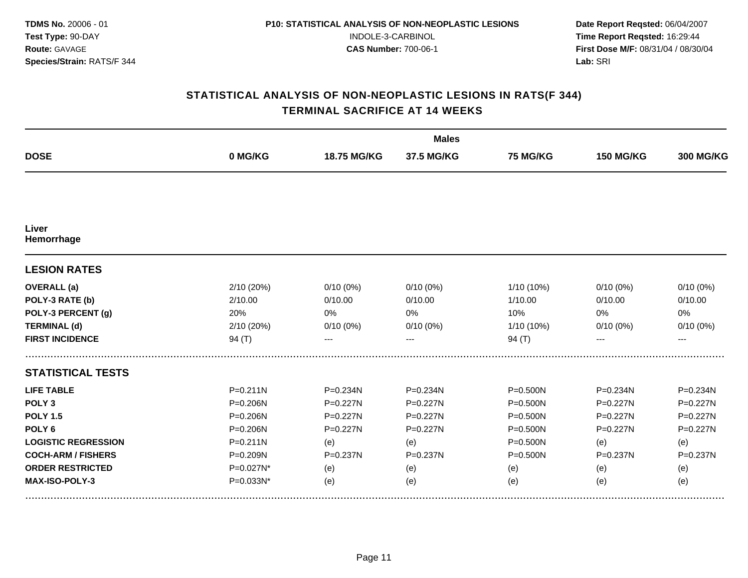|              |              | <b>Males</b> |              |                  |                  |
|--------------|--------------|--------------|--------------|------------------|------------------|
| 0 MG/KG      | 18.75 MG/KG  | 37.5 MG/KG   | 75 MG/KG     | <b>150 MG/KG</b> | <b>300 MG/KG</b> |
|              |              |              |              |                  |                  |
|              |              |              |              |                  |                  |
|              |              |              |              |                  |                  |
| 2/10(20%)    |              | $0/10(0\%)$  | 1/10 (10%)   | $0/10(0\%)$      | $0/10(0\%)$      |
| 2/10.00      | 0/10.00      | 0/10.00      | 1/10.00      | 0/10.00          | 0/10.00          |
| 20%          | 0%           | 0%           | 10%          | 0%               | 0%               |
| 2/10 (20%)   | $0/10(0\%)$  | $0/10(0\%)$  | 1/10 (10%)   | $0/10(0\%)$      | 0/10(0%)         |
| 94 $(T)$     |              |              | 94 $(T)$     |                  | ---              |
|              |              |              |              |                  |                  |
| $P = 0.211N$ | $P = 0.234N$ | $P = 0.234N$ | $P = 0.500N$ | P=0.234N         | P=0.234N         |
| $P = 0.206N$ | $P=0.227N$   | $P=0.227N$   | $P = 0.500N$ | $P=0.227N$       | $P=0.227N$       |
| $P = 0.206N$ | P=0.227N     | P=0.227N     | $P = 0.500N$ | P=0.227N         | P=0.227N         |
| $P = 0.206N$ | P=0.227N     | $P = 0.227N$ | $P = 0.500N$ | $P = 0.227N$     | $P = 0.227N$     |
| $P = 0.211N$ | (e)          | (e)          | $P = 0.500N$ | (e)              | (e)              |
| P=0.209N     | P=0.237N     | P=0.237N     | $P = 0.500N$ | $P = 0.237N$     | P=0.237N         |
| P=0.027N*    | (e)          | (e)          | (e)          | (e)              | (e)              |
| P=0.033N*    | (e)          | (e)          | (e)          | (e)              | (e)              |
|              |              | $0/10(0\%)$  |              |                  |                  |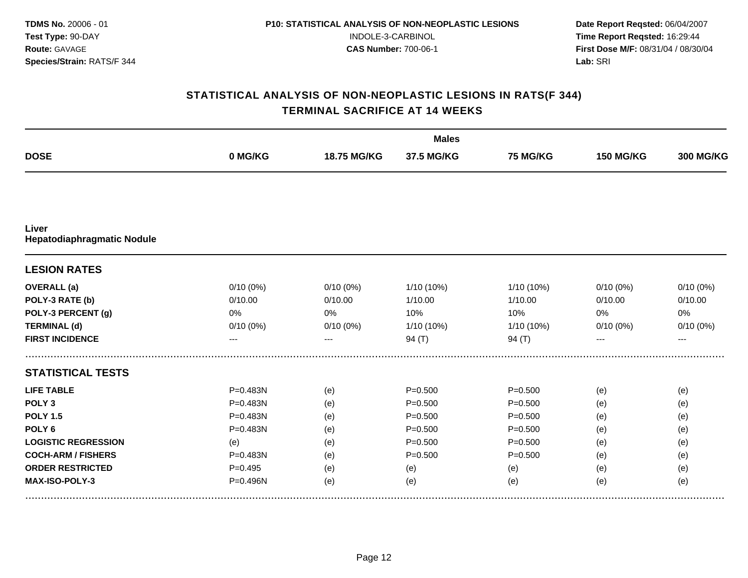|                                            |             |             | <b>Males</b> |             |                  |                  |
|--------------------------------------------|-------------|-------------|--------------|-------------|------------------|------------------|
| <b>DOSE</b>                                | 0 MG/KG     | 18.75 MG/KG | 37.5 MG/KG   | 75 MG/KG    | <b>150 MG/KG</b> | <b>300 MG/KG</b> |
|                                            |             |             |              |             |                  |                  |
| Liver<br><b>Hepatodiaphragmatic Nodule</b> |             |             |              |             |                  |                  |
| <b>LESION RATES</b>                        |             |             |              |             |                  |                  |
| <b>OVERALL</b> (a)                         | 0/10(0%)    | $0/10(0\%)$ | 1/10 (10%)   | 1/10 (10%)  | $0/10(0\%)$      | $0/10(0\%)$      |
| POLY-3 RATE (b)                            | 0/10.00     | 0/10.00     | 1/10.00      | 1/10.00     | 0/10.00          | 0/10.00          |
| POLY-3 PERCENT (g)                         | $0\%$       | 0%          | 10%          | 10%         | 0%               | 0%               |
| <b>TERMINAL (d)</b>                        | $0/10(0\%)$ | $0/10(0\%)$ | 1/10 (10%)   | 1/10 (10%)  | $0/10(0\%)$      | $0/10(0\%)$      |
| <b>FIRST INCIDENCE</b>                     | ---         | ---         | 94 $(T)$     | 94 $(T)$    | ---              | $---$            |
| <b>STATISTICAL TESTS</b>                   |             |             |              |             |                  |                  |
| <b>LIFE TABLE</b>                          | P=0.483N    | (e)         | $P = 0.500$  | $P = 0.500$ | (e)              | (e)              |
| POLY <sub>3</sub>                          | P=0.483N    | (e)         | $P = 0.500$  | $P = 0.500$ | (e)              | (e)              |
| <b>POLY 1.5</b>                            | P=0.483N    | (e)         | $P = 0.500$  | $P = 0.500$ | (e)              | (e)              |
| POLY <sub>6</sub>                          | P=0.483N    | (e)         | $P = 0.500$  | $P = 0.500$ | (e)              | (e)              |
| <b>LOGISTIC REGRESSION</b>                 | (e)         | (e)         | $P = 0.500$  | $P = 0.500$ | (e)              | (e)              |
| <b>COCH-ARM / FISHERS</b>                  | P=0.483N    | (e)         | $P = 0.500$  | $P = 0.500$ | (e)              | (e)              |
| <b>ORDER RESTRICTED</b>                    | $P=0.495$   | (e)         | (e)          | (e)         | (e)              | (e)              |
| MAX-ISO-POLY-3                             | P=0.496N    | (e)         | (e)          | (e)         | (e)              | (e)              |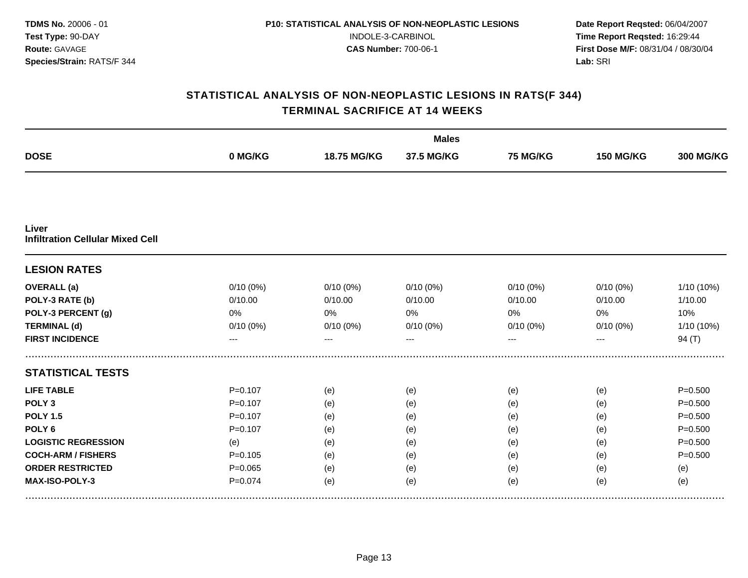|                                                  |             |             | <b>Males</b> |                 |                  |                  |
|--------------------------------------------------|-------------|-------------|--------------|-----------------|------------------|------------------|
| <b>DOSE</b>                                      | 0 MG/KG     | 18.75 MG/KG | 37.5 MG/KG   | <b>75 MG/KG</b> | <b>150 MG/KG</b> | <b>300 MG/KG</b> |
|                                                  |             |             |              |                 |                  |                  |
| Liver<br><b>Infiltration Cellular Mixed Cell</b> |             |             |              |                 |                  |                  |
| <b>LESION RATES</b>                              |             |             |              |                 |                  |                  |
| <b>OVERALL</b> (a)                               | 0/10(0%)    | $0/10(0\%)$ | 0/10(0%)     | 0/10(0%)        | $0/10(0\%)$      | 1/10 (10%)       |
| POLY-3 RATE (b)                                  | 0/10.00     | 0/10.00     | 0/10.00      | 0/10.00         | 0/10.00          | 1/10.00          |
| POLY-3 PERCENT (g)                               | 0%          | 0%          | 0%           | 0%              | 0%               | 10%              |
| <b>TERMINAL (d)</b>                              | $0/10(0\%)$ | $0/10(0\%)$ | $0/10(0\%)$  | $0/10(0\%)$     | $0/10(0\%)$      | 1/10 (10%)       |
| <b>FIRST INCIDENCE</b>                           | ---         | ---         | ---          | ---             | ---              | 94 $(T)$         |
| <b>STATISTICAL TESTS</b>                         |             |             |              |                 |                  |                  |
| <b>LIFE TABLE</b>                                | $P = 0.107$ | (e)         | (e)          | (e)             | (e)              | $P = 0.500$      |
| POLY <sub>3</sub>                                | $P = 0.107$ | (e)         | (e)          | (e)             | (e)              | $P = 0.500$      |
| <b>POLY 1.5</b>                                  | $P = 0.107$ | (e)         | (e)          | (e)             | (e)              | $P = 0.500$      |
| POLY <sub>6</sub>                                | $P = 0.107$ | (e)         | (e)          | (e)             | (e)              | $P = 0.500$      |
| <b>LOGISTIC REGRESSION</b>                       | (e)         | (e)         | (e)          | (e)             | (e)              | $P = 0.500$      |
| <b>COCH-ARM / FISHERS</b>                        | $P = 0.105$ | (e)         | (e)          | (e)             | (e)              | $P = 0.500$      |
| <b>ORDER RESTRICTED</b>                          | $P = 0.065$ | (e)         | (e)          | (e)             | (e)              | (e)              |
| MAX-ISO-POLY-3                                   | $P = 0.074$ | (e)         | (e)          | (e)             | (e)              | (e)              |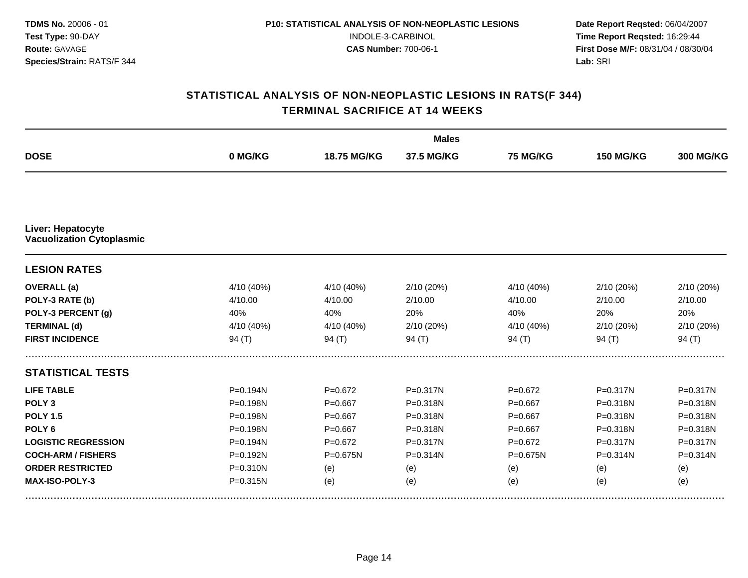|                                                              |              |              | <b>Males</b> |              |                  |                  |
|--------------------------------------------------------------|--------------|--------------|--------------|--------------|------------------|------------------|
| <b>DOSE</b>                                                  | 0 MG/KG      | 18.75 MG/KG  | 37.5 MG/KG   | 75 MG/KG     | <b>150 MG/KG</b> | <b>300 MG/KG</b> |
|                                                              |              |              |              |              |                  |                  |
| <b>Liver: Hepatocyte</b><br><b>Vacuolization Cytoplasmic</b> |              |              |              |              |                  |                  |
| <b>LESION RATES</b>                                          |              |              |              |              |                  |                  |
| <b>OVERALL</b> (a)                                           | 4/10 (40%)   | 4/10 (40%)   | 2/10 (20%)   | 4/10 (40%)   | 2/10 (20%)       | 2/10 (20%)       |
| POLY-3 RATE (b)                                              | 4/10.00      | 4/10.00      | 2/10.00      | 4/10.00      | 2/10.00          | 2/10.00          |
| POLY-3 PERCENT (g)                                           | 40%          | 40%          | 20%          | 40%          | 20%              | 20%              |
| <b>TERMINAL (d)</b>                                          | 4/10 (40%)   | 4/10 (40%)   | 2/10(20%)    | 4/10 (40%)   | 2/10(20%)        | 2/10 (20%)       |
| <b>FIRST INCIDENCE</b>                                       | 94 $(T)$     | 94 $(T)$     | 94 $(T)$     | 94 (T)       | 94 $(T)$         | 94 $(T)$         |
| <b>STATISTICAL TESTS</b>                                     |              |              |              |              |                  |                  |
| <b>LIFE TABLE</b>                                            | $P = 0.194N$ | $P = 0.672$  | $P = 0.317N$ | $P = 0.672$  | $P = 0.317N$     | P=0.317N         |
| POLY <sub>3</sub>                                            | P=0.198N     | $P = 0.667$  | P=0.318N     | $P = 0.667$  | P=0.318N         | P=0.318N         |
| <b>POLY 1.5</b>                                              | P=0.198N     | $P = 0.667$  | P=0.318N     | $P = 0.667$  | P=0.318N         | P=0.318N         |
| POLY <sub>6</sub>                                            | P=0.198N     | $P=0.667$    | P=0.318N     | $P = 0.667$  | P=0.318N         | P=0.318N         |
| <b>LOGISTIC REGRESSION</b>                                   | $P = 0.194N$ | $P=0.672$    | $P = 0.317N$ | $P=0.672$    | $P = 0.317N$     | P=0.317N         |
| <b>COCH-ARM / FISHERS</b>                                    | P=0.192N     | $P = 0.675N$ | $P = 0.314N$ | $P = 0.675N$ | P=0.314N         | P=0.314N         |
| <b>ORDER RESTRICTED</b>                                      | $P = 0.310N$ | (e)          | (e)          | (e)          | (e)              | (e)              |
| <b>MAX-ISO-POLY-3</b>                                        | $P = 0.315N$ | (e)          | (e)          | (e)          | (e)              | (e)              |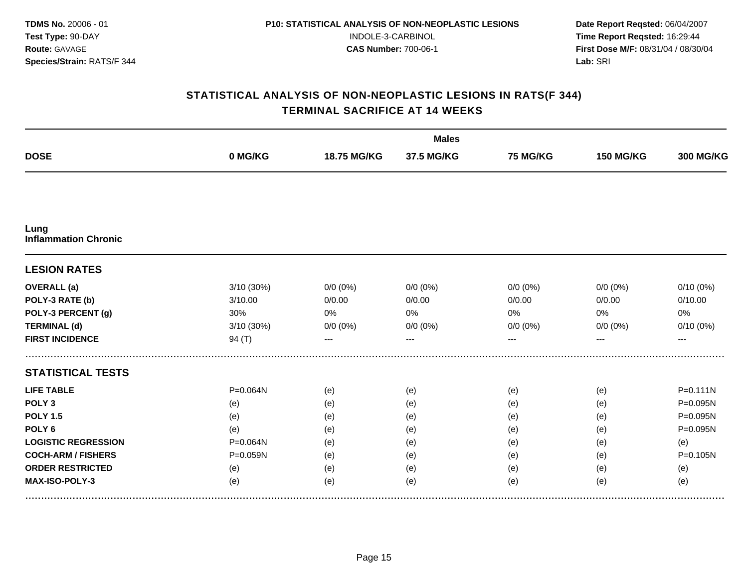|                                     |            |             | <b>Males</b> |             |                  |                  |
|-------------------------------------|------------|-------------|--------------|-------------|------------------|------------------|
| <b>DOSE</b>                         | 0 MG/KG    | 18.75 MG/KG | 37.5 MG/KG   | 75 MG/KG    | <b>150 MG/KG</b> | <b>300 MG/KG</b> |
|                                     |            |             |              |             |                  |                  |
| Lung<br><b>Inflammation Chronic</b> |            |             |              |             |                  |                  |
| <b>LESION RATES</b>                 |            |             |              |             |                  |                  |
| <b>OVERALL</b> (a)                  | 3/10 (30%) | $0/0 (0\%)$ | $0/0 (0\%)$  | $0/0 (0\%)$ | $0/0 (0\%)$      | $0/10(0\%)$      |
| POLY-3 RATE (b)                     | 3/10.00    | 0/0.00      | 0/0.00       | 0/0.00      | 0/0.00           | 0/10.00          |
| POLY-3 PERCENT (g)                  | 30%        | 0%          | 0%           | 0%          | 0%               | 0%               |
| <b>TERMINAL (d)</b>                 | 3/10 (30%) | $0/0 (0\%)$ | $0/0 (0\%)$  | $0/0 (0\%)$ | $0/0 (0\%)$      | $0/10(0\%)$      |
| <b>FIRST INCIDENCE</b>              | 94 $(T)$   | ---         | $---$        | ---         | ---              | $---$            |
| <b>STATISTICAL TESTS</b>            |            |             |              |             |                  |                  |
| <b>LIFE TABLE</b>                   | P=0.064N   | (e)         | (e)          | (e)         | (e)              | $P = 0.111N$     |
| POLY <sub>3</sub>                   | (e)        | (e)         | (e)          | (e)         | (e)              | P=0.095N         |
| <b>POLY 1.5</b>                     | (e)        | (e)         | (e)          | (e)         | (e)              | P=0.095N         |
| POLY <sub>6</sub>                   | (e)        | (e)         | (e)          | (e)         | (e)              | P=0.095N         |
| <b>LOGISTIC REGRESSION</b>          | P=0.064N   | (e)         | (e)          | (e)         | (e)              | (e)              |
| <b>COCH-ARM / FISHERS</b>           | P=0.059N   | (e)         | (e)          | (e)         | (e)              | P=0.105N         |
| <b>ORDER RESTRICTED</b>             | (e)        | (e)         | (e)          | (e)         | (e)              | (e)              |
| MAX-ISO-POLY-3                      | (e)        | (e)         | (e)          | (e)         | (e)              | (e)              |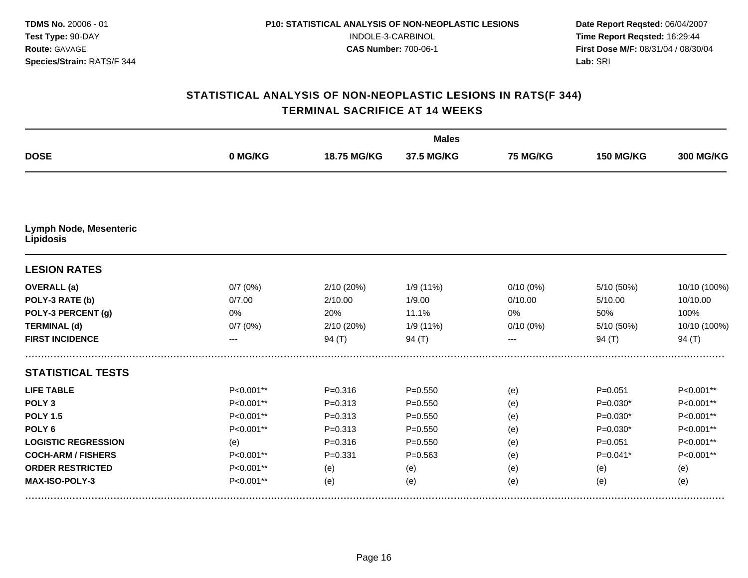|                                                   |           |             | <b>Males</b> |             |                  |                  |
|---------------------------------------------------|-----------|-------------|--------------|-------------|------------------|------------------|
| <b>DOSE</b>                                       | 0 MG/KG   | 18.75 MG/KG | 37.5 MG/KG   | 75 MG/KG    | <b>150 MG/KG</b> | <b>300 MG/KG</b> |
|                                                   |           |             |              |             |                  |                  |
| <b>Lymph Node, Mesenteric</b><br><b>Lipidosis</b> |           |             |              |             |                  |                  |
| <b>LESION RATES</b>                               |           |             |              |             |                  |                  |
| <b>OVERALL</b> (a)                                | 0/7(0%)   | 2/10 (20%)  | 1/9 (11%)    | $0/10(0\%)$ | 5/10 (50%)       | 10/10 (100%)     |
| POLY-3 RATE (b)                                   | 0/7.00    | 2/10.00     | 1/9.00       | 0/10.00     | 5/10.00          | 10/10.00         |
| POLY-3 PERCENT (g)                                | 0%        | 20%         | 11.1%        | 0%          | 50%              | 100%             |
| <b>TERMINAL (d)</b>                               | 0/7(0%)   | 2/10 (20%)  | 1/9 (11%)    | $0/10(0\%)$ | 5/10 (50%)       | 10/10 (100%)     |
| <b>FIRST INCIDENCE</b>                            |           | 94 $(T)$    | 94 $(T)$     |             | 94 $(T)$         | 94 $(T)$         |
| <b>STATISTICAL TESTS</b>                          |           |             |              |             |                  |                  |
| <b>LIFE TABLE</b>                                 | P<0.001** | $P = 0.316$ | $P = 0.550$  | (e)         | $P = 0.051$      | P<0.001**        |
| POLY <sub>3</sub>                                 | P<0.001** | $P = 0.313$ | $P = 0.550$  | (e)         | $P=0.030*$       | P<0.001**        |
| <b>POLY 1.5</b>                                   | P<0.001** | $P = 0.313$ | $P = 0.550$  | (e)         | $P=0.030*$       | P<0.001**        |
| POLY <sub>6</sub>                                 | P<0.001** | $P = 0.313$ | $P = 0.550$  | (e)         | $P=0.030*$       | P<0.001**        |
| <b>LOGISTIC REGRESSION</b>                        | (e)       | $P = 0.316$ | $P = 0.550$  | (e)         | $P = 0.051$      | P<0.001**        |
| <b>COCH-ARM / FISHERS</b>                         | P<0.001** | $P = 0.331$ | $P = 0.563$  | (e)         | $P=0.041*$       | P<0.001**        |
| <b>ORDER RESTRICTED</b>                           | P<0.001** | (e)         | (e)          | (e)         | (e)              | (e)              |
| MAX-ISO-POLY-3                                    | P<0.001** | (e)         | (e)          | (e)         | (e)              | (e)              |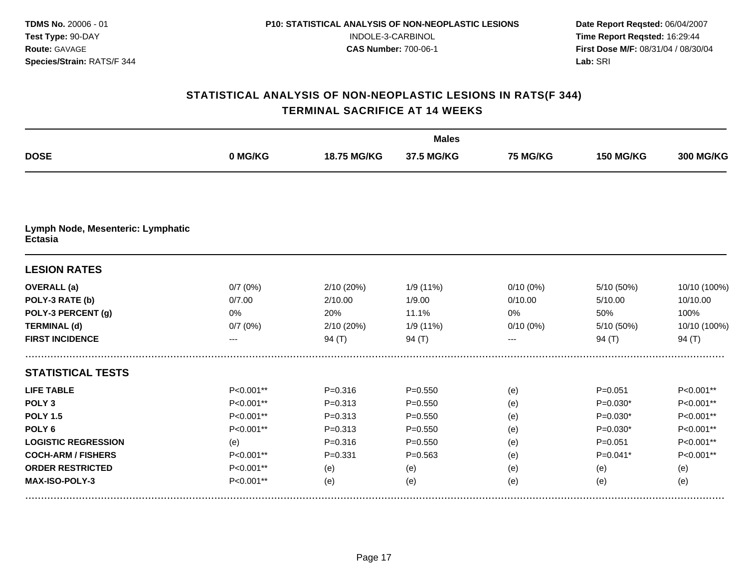|                                                     |           |             | <b>Males</b> |                 |                  |                  |
|-----------------------------------------------------|-----------|-------------|--------------|-----------------|------------------|------------------|
| <b>DOSE</b>                                         | 0 MG/KG   | 18.75 MG/KG | 37.5 MG/KG   | <b>75 MG/KG</b> | <b>150 MG/KG</b> | <b>300 MG/KG</b> |
|                                                     |           |             |              |                 |                  |                  |
| Lymph Node, Mesenteric: Lymphatic<br><b>Ectasia</b> |           |             |              |                 |                  |                  |
| <b>LESION RATES</b>                                 |           |             |              |                 |                  |                  |
| <b>OVERALL</b> (a)                                  | 0/7(0%)   | 2/10 (20%)  | 1/9 (11%)    | $0/10(0\%)$     | 5/10 (50%)       | 10/10 (100%)     |
| POLY-3 RATE (b)                                     | 0/7.00    | 2/10.00     | 1/9.00       | 0/10.00         | 5/10.00          | 10/10.00         |
| POLY-3 PERCENT (g)                                  | 0%        | 20%         | 11.1%        | 0%              | 50%              | 100%             |
| <b>TERMINAL (d)</b>                                 | 0/7(0%)   | 2/10 (20%)  | 1/9 (11%)    | $0/10(0\%)$     | 5/10 (50%)       | 10/10 (100%)     |
| <b>FIRST INCIDENCE</b>                              | ---       | 94 (T)      | 94 $(T)$     |                 | 94 $(T)$         | 94 $(T)$         |
| <b>STATISTICAL TESTS</b>                            |           |             |              |                 |                  |                  |
| <b>LIFE TABLE</b>                                   | P<0.001** | $P = 0.316$ | $P = 0.550$  | (e)             | $P = 0.051$      | P<0.001**        |
| POLY <sub>3</sub>                                   | P<0.001** | $P = 0.313$ | $P = 0.550$  | (e)             | $P=0.030*$       | P<0.001**        |
| <b>POLY 1.5</b>                                     | P<0.001** | $P = 0.313$ | $P = 0.550$  | (e)             | $P=0.030*$       | P<0.001**        |
| POLY <sub>6</sub>                                   | P<0.001** | $P = 0.313$ | $P = 0.550$  | (e)             | $P=0.030*$       | P<0.001**        |
| <b>LOGISTIC REGRESSION</b>                          | (e)       | $P = 0.316$ | $P = 0.550$  | (e)             | $P = 0.051$      | P<0.001**        |
| <b>COCH-ARM / FISHERS</b>                           | P<0.001** | $P = 0.331$ | $P = 0.563$  | (e)             | $P=0.041*$       | P<0.001**        |
| <b>ORDER RESTRICTED</b>                             | P<0.001** | (e)         | (e)          | (e)             | (e)              | (e)              |
| MAX-ISO-POLY-3                                      | P<0.001** | (e)         | (e)          | (e)             | (e)              | (e)              |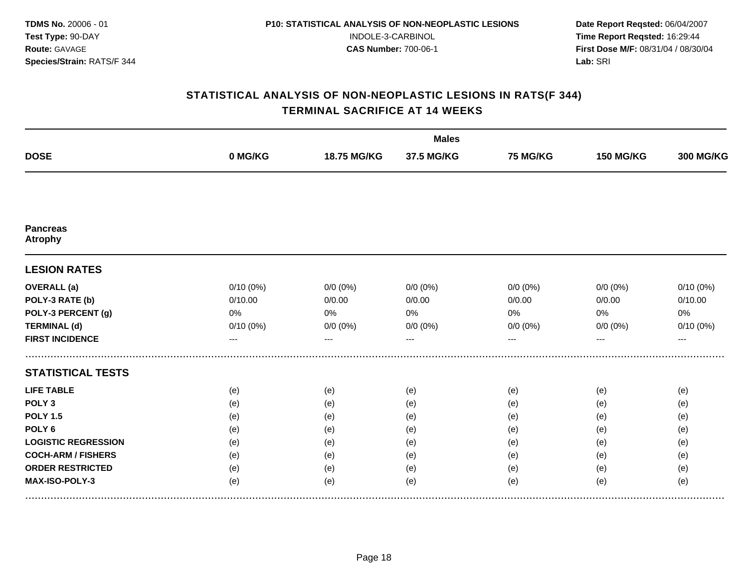|                                   |          |             | <b>Males</b> |                 |                  |                  |
|-----------------------------------|----------|-------------|--------------|-----------------|------------------|------------------|
| <b>DOSE</b>                       | 0 MG/KG  | 18.75 MG/KG | 37.5 MG/KG   | <b>75 MG/KG</b> | <b>150 MG/KG</b> | <b>300 MG/KG</b> |
|                                   |          |             |              |                 |                  |                  |
| <b>Pancreas</b><br><b>Atrophy</b> |          |             |              |                 |                  |                  |
| <b>LESION RATES</b>               |          |             |              |                 |                  |                  |
| <b>OVERALL</b> (a)                | 0/10(0%) | $0/0 (0\%)$ | $0/0(0\%)$   | $0/0 (0\%)$     | $0/0(0\%)$       | 0/10(0%)         |
| POLY-3 RATE (b)                   | 0/10.00  | 0/0.00      | 0/0.00       | 0/0.00          | 0/0.00           | 0/10.00          |
| POLY-3 PERCENT (g)                | 0%       | 0%          | 0%           | 0%              | 0%               | 0%               |
| <b>TERMINAL (d)</b>               | 0/10(0%) | $0/0(0\%)$  | $0/0 (0\%)$  | $0/0 (0\%)$     | $0/0 (0\%)$      | 0/10(0%)         |
| <b>FIRST INCIDENCE</b>            | ---      | ---         | $---$        | ---             | ---              | $---$            |
| <b>STATISTICAL TESTS</b>          |          |             |              |                 |                  |                  |
| <b>LIFE TABLE</b>                 | (e)      | (e)         | (e)          | (e)             | (e)              | (e)              |
| POLY <sub>3</sub>                 | (e)      | (e)         | (e)          | (e)             | (e)              | (e)              |
| <b>POLY 1.5</b>                   | (e)      | (e)         | (e)          | (e)             | (e)              | (e)              |
| POLY <sub>6</sub>                 | (e)      | (e)         | (e)          | (e)             | (e)              | (e)              |
| <b>LOGISTIC REGRESSION</b>        | (e)      | (e)         | (e)          | (e)             | (e)              | (e)              |
| <b>COCH-ARM / FISHERS</b>         | (e)      | (e)         | (e)          | (e)             | (e)              | (e)              |
| <b>ORDER RESTRICTED</b>           | (e)      | (e)         | (e)          | (e)             | (e)              | (e)              |
| MAX-ISO-POLY-3                    | (e)      | (e)         | (e)          | (e)             | (e)              | (e)              |
|                                   |          |             |              |                 |                  |                  |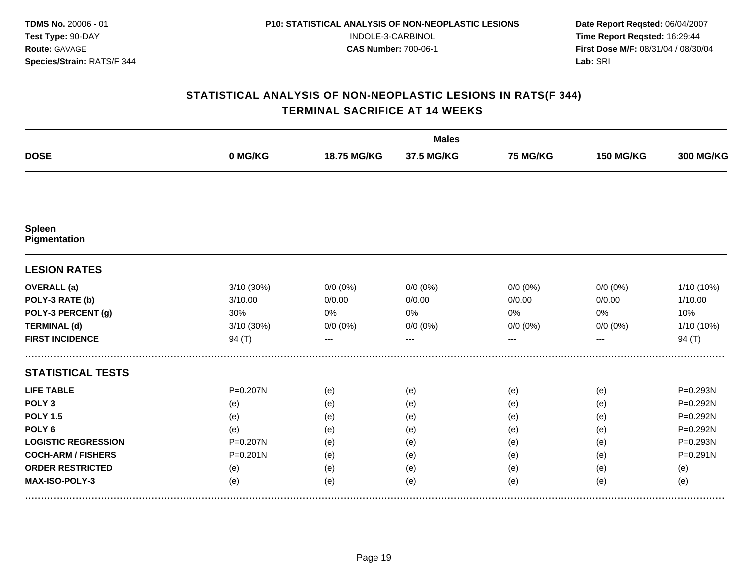|                            |              |             | <b>Males</b> |                 |                  |                  |
|----------------------------|--------------|-------------|--------------|-----------------|------------------|------------------|
| <b>DOSE</b>                | 0 MG/KG      | 18.75 MG/KG | 37.5 MG/KG   | <b>75 MG/KG</b> | <b>150 MG/KG</b> | <b>300 MG/KG</b> |
|                            |              |             |              |                 |                  |                  |
| Spleen<br>Pigmentation     |              |             |              |                 |                  |                  |
| <b>LESION RATES</b>        |              |             |              |                 |                  |                  |
| <b>OVERALL</b> (a)         | 3/10 (30%)   | $0/0 (0\%)$ | $0/0(0\%)$   | $0/0 (0\%)$     | $0/0 (0\%)$      | 1/10 (10%)       |
| POLY-3 RATE (b)            | 3/10.00      | 0/0.00      | 0/0.00       | 0/0.00          | 0/0.00           | 1/10.00          |
| POLY-3 PERCENT (g)         | 30%          | 0%          | 0%           | 0%              | 0%               | 10%              |
| <b>TERMINAL (d)</b>        | 3/10 (30%)   | $0/0 (0\%)$ | $0/0 (0\%)$  | $0/0 (0\%)$     | $0/0 (0\%)$      | 1/10 (10%)       |
| <b>FIRST INCIDENCE</b>     | 94 $(T)$     | $---$       | $---$        | ---             | $---$            | 94 $(T)$         |
| <b>STATISTICAL TESTS</b>   |              |             |              |                 |                  |                  |
| <b>LIFE TABLE</b>          | P=0.207N     | (e)         | (e)          | (e)             | (e)              | P=0.293N         |
| POLY <sub>3</sub>          | (e)          | (e)         | (e)          | (e)             | (e)              | P=0.292N         |
| <b>POLY 1.5</b>            | (e)          | (e)         | (e)          | (e)             | (e)              | P=0.292N         |
| POLY <sub>6</sub>          | (e)          | (e)         | (e)          | (e)             | (e)              | P=0.292N         |
| <b>LOGISTIC REGRESSION</b> | P=0.207N     | (e)         | (e)          | (e)             | (e)              | P=0.293N         |
| <b>COCH-ARM / FISHERS</b>  | $P = 0.201N$ | (e)         | (e)          | (e)             | (e)              | $P = 0.291N$     |
| <b>ORDER RESTRICTED</b>    | (e)          | (e)         | (e)          | (e)             | (e)              | (e)              |
| MAX-ISO-POLY-3             | (e)          | (e)         | (e)          | (e)             | (e)              | (e)              |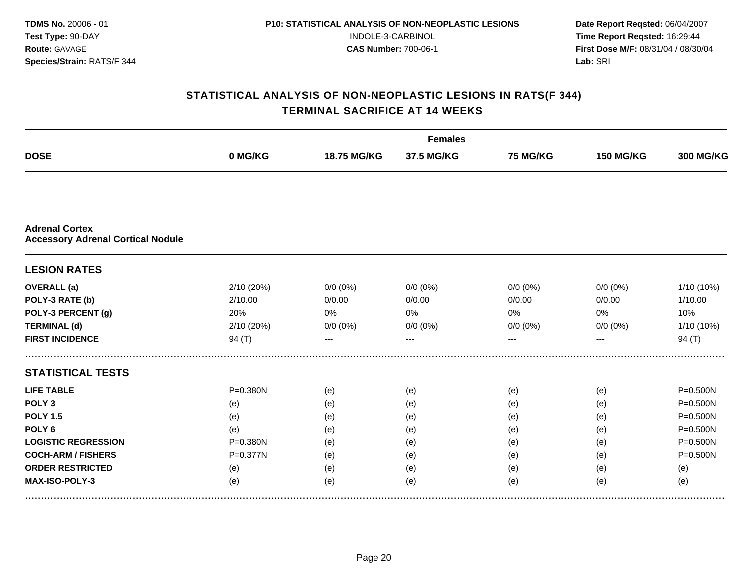|                                                                   |              |             | <b>Females</b> |                 |                  |                  |
|-------------------------------------------------------------------|--------------|-------------|----------------|-----------------|------------------|------------------|
| <b>DOSE</b>                                                       | 0 MG/KG      | 18.75 MG/KG | 37.5 MG/KG     | <b>75 MG/KG</b> | <b>150 MG/KG</b> | <b>300 MG/KG</b> |
|                                                                   |              |             |                |                 |                  |                  |
| <b>Adrenal Cortex</b><br><b>Accessory Adrenal Cortical Nodule</b> |              |             |                |                 |                  |                  |
| <b>LESION RATES</b>                                               |              |             |                |                 |                  |                  |
| <b>OVERALL</b> (a)                                                | 2/10 (20%)   | $0/0 (0\%)$ | $0/0 (0\%)$    | $0/0 (0\%)$     | $0/0 (0\%)$      | 1/10 (10%)       |
| POLY-3 RATE (b)                                                   | 2/10.00      | 0/0.00      | 0/0.00         | 0/0.00          | 0/0.00           | 1/10.00          |
| POLY-3 PERCENT (g)                                                | 20%          | 0%          | 0%             | 0%              | 0%               | 10%              |
| <b>TERMINAL (d)</b>                                               | 2/10 (20%)   | $0/0(0\%)$  | $0/0 (0\%)$    | $0/0 (0\%)$     | $0/0 (0\%)$      | 1/10 (10%)       |
| <b>FIRST INCIDENCE</b>                                            | 94 $(T)$     |             |                |                 |                  | 94 $(T)$         |
| <b>STATISTICAL TESTS</b>                                          |              |             |                |                 |                  |                  |
| <b>LIFE TABLE</b>                                                 | P=0.380N     | (e)         | (e)            | (e)             | (e)              | $P = 0.500N$     |
| POLY <sub>3</sub>                                                 | (e)          | (e)         | (e)            | (e)             | (e)              | P=0.500N         |
| <b>POLY 1.5</b>                                                   | (e)          | (e)         | (e)            | (e)             | (e)              | P=0.500N         |
| POLY <sub>6</sub>                                                 | (e)          | (e)         | (e)            | (e)             | (e)              | P=0.500N         |
| <b>LOGISTIC REGRESSION</b>                                        | $P = 0.380N$ | (e)         | (e)            | (e)             | (e)              | P=0.500N         |
| <b>COCH-ARM / FISHERS</b>                                         | P=0.377N     | (e)         | (e)            | (e)             | (e)              | $P = 0.500N$     |
| <b>ORDER RESTRICTED</b>                                           | (e)          | (e)         | (e)            | (e)             | (e)              | (e)              |
| MAX-ISO-POLY-3                                                    | (e)          | (e)         | (e)            | (e)             | (e)              | (e)              |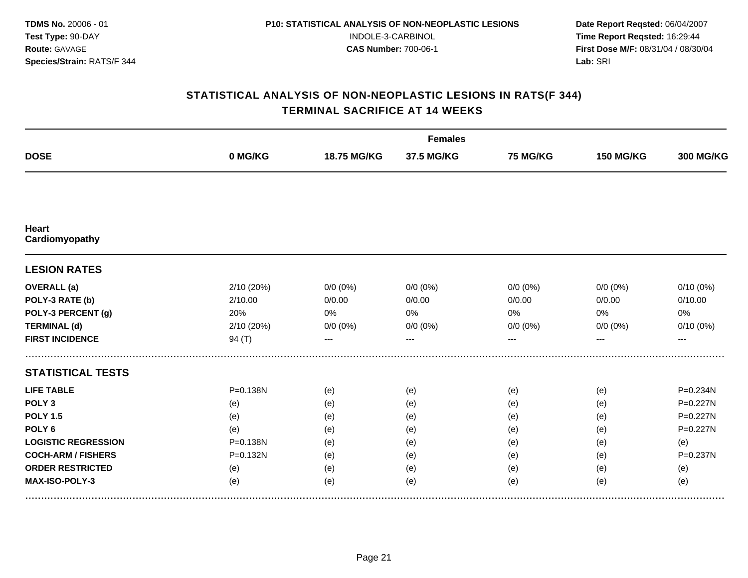|                                |              |             | <b>Females</b> |                 |                  |                  |
|--------------------------------|--------------|-------------|----------------|-----------------|------------------|------------------|
| <b>DOSE</b>                    | 0 MG/KG      | 18.75 MG/KG | 37.5 MG/KG     | <b>75 MG/KG</b> | <b>150 MG/KG</b> | <b>300 MG/KG</b> |
|                                |              |             |                |                 |                  |                  |
| <b>Heart</b><br>Cardiomyopathy |              |             |                |                 |                  |                  |
| <b>LESION RATES</b>            |              |             |                |                 |                  |                  |
| <b>OVERALL</b> (a)             | 2/10 (20%)   | $0/0 (0\%)$ | $0/0(0\%)$     | $0/0$ (0%)      | $0/0(0\%)$       | $0/10(0\%)$      |
| POLY-3 RATE (b)                | 2/10.00      | 0/0.00      | 0/0.00         | 0/0.00          | 0/0.00           | 0/10.00          |
| POLY-3 PERCENT (g)             | 20%          | 0%          | 0%             | 0%              | 0%               | 0%               |
| <b>TERMINAL (d)</b>            | 2/10 (20%)   | $0/0 (0\%)$ | $0/0 (0\%)$    | $0/0 (0\%)$     | $0/0 (0\%)$      | 0/10(0%)         |
| <b>FIRST INCIDENCE</b>         | 94(T)        | $---$       | $---$          | ---             | ---              | $---$            |
| <b>STATISTICAL TESTS</b>       |              |             |                |                 |                  |                  |
| <b>LIFE TABLE</b>              | P=0.138N     | (e)         | (e)            | (e)             | (e)              | P=0.234N         |
| POLY <sub>3</sub>              | (e)          | (e)         | (e)            | (e)             | (e)              | P=0.227N         |
| <b>POLY 1.5</b>                | (e)          | (e)         | (e)            | (e)             | (e)              | $P = 0.227N$     |
| POLY <sub>6</sub>              | (e)          | (e)         | (e)            | (e)             | (e)              | P=0.227N         |
| <b>LOGISTIC REGRESSION</b>     | $P = 0.138N$ | (e)         | (e)            | (e)             | (e)              | (e)              |
| <b>COCH-ARM / FISHERS</b>      | P=0.132N     | (e)         | (e)            | (e)             | (e)              | $P = 0.237N$     |
| <b>ORDER RESTRICTED</b>        | (e)          | (e)         | (e)            | (e)             | (e)              | (e)              |
| MAX-ISO-POLY-3                 | (e)          | (e)         | (e)            | (e)             | (e)              | (e)              |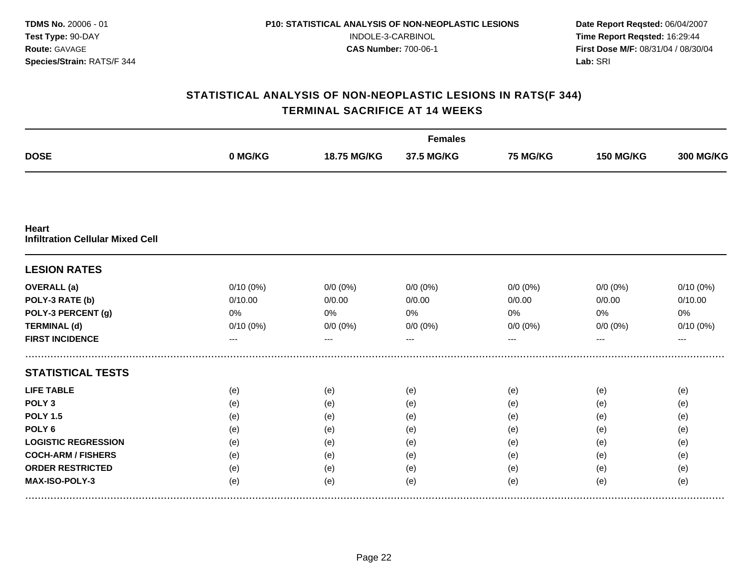|                                                         |             |             | <b>Females</b> |                 |                  |                  |
|---------------------------------------------------------|-------------|-------------|----------------|-----------------|------------------|------------------|
| <b>DOSE</b>                                             | 0 MG/KG     | 18.75 MG/KG | 37.5 MG/KG     | <b>75 MG/KG</b> | <b>150 MG/KG</b> | <b>300 MG/KG</b> |
|                                                         |             |             |                |                 |                  |                  |
| <b>Heart</b><br><b>Infiltration Cellular Mixed Cell</b> |             |             |                |                 |                  |                  |
| <b>LESION RATES</b>                                     |             |             |                |                 |                  |                  |
| <b>OVERALL</b> (a)                                      | 0/10(0%)    | $0/0(0\%)$  | $0/0 (0\%)$    | $0/0 (0\%)$     | $0/0$ (0%)       | 0/10(0%)         |
| POLY-3 RATE (b)                                         | 0/10.00     | 0/0.00      | 0/0.00         | 0/0.00          | 0/0.00           | 0/10.00          |
| POLY-3 PERCENT (g)                                      | 0%          | 0%          | 0%             | 0%              | 0%               | 0%               |
| <b>TERMINAL (d)</b>                                     | $0/10(0\%)$ | $0/0(0\%)$  | $0/0 (0\%)$    | $0/0 (0\%)$     | $0/0 (0\%)$      | $0/10(0\%)$      |
| <b>FIRST INCIDENCE</b>                                  | ---         | ---         | $---$          | ---             | ---              | $---$            |
| <b>STATISTICAL TESTS</b>                                |             |             |                |                 |                  |                  |
| <b>LIFE TABLE</b>                                       | (e)         | (e)         | (e)            | (e)             | (e)              | (e)              |
| POLY <sub>3</sub>                                       | (e)         | (e)         | (e)            | (e)             | (e)              | (e)              |
| <b>POLY 1.5</b>                                         | (e)         | (e)         | (e)            | (e)             | (e)              | (e)              |
| POLY <sub>6</sub>                                       | (e)         | (e)         | (e)            | (e)             | (e)              | (e)              |
| <b>LOGISTIC REGRESSION</b>                              | (e)         | (e)         | (e)            | (e)             | (e)              | (e)              |
| <b>COCH-ARM / FISHERS</b>                               | (e)         | (e)         | (e)            | (e)             | (e)              | (e)              |
| <b>ORDER RESTRICTED</b>                                 | (e)         | (e)         | (e)            | (e)             | (e)              | (e)              |
| MAX-ISO-POLY-3                                          | (e)         | (e)         | (e)            | (e)             | (e)              | (e)              |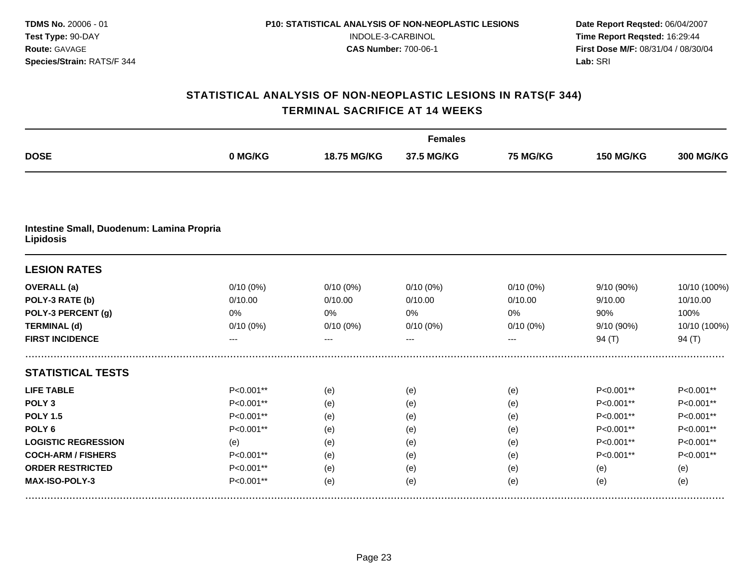|                                                        |             |             | <b>Females</b> |                 |                  |                  |
|--------------------------------------------------------|-------------|-------------|----------------|-----------------|------------------|------------------|
| <b>DOSE</b>                                            | 0 MG/KG     | 18.75 MG/KG | 37.5 MG/KG     | <b>75 MG/KG</b> | <b>150 MG/KG</b> | <b>300 MG/KG</b> |
|                                                        |             |             |                |                 |                  |                  |
| Intestine Small, Duodenum: Lamina Propria<br>Lipidosis |             |             |                |                 |                  |                  |
| <b>LESION RATES</b>                                    |             |             |                |                 |                  |                  |
| <b>OVERALL</b> (a)                                     | $0/10(0\%)$ | $0/10(0\%)$ | $0/10(0\%)$    | $0/10(0\%)$     | 9/10 (90%)       | 10/10 (100%)     |
| POLY-3 RATE (b)                                        | 0/10.00     | 0/10.00     | 0/10.00        | 0/10.00         | 9/10.00          | 10/10.00         |
| POLY-3 PERCENT (g)                                     | 0%          | 0%          | 0%             | 0%              | 90%              | 100%             |
| <b>TERMINAL (d)</b>                                    | $0/10(0\%)$ | $0/10(0\%)$ | 0/10(0%)       | $0/10(0\%)$     | 9/10 (90%)       | 10/10 (100%)     |
| <b>FIRST INCIDENCE</b>                                 |             | ---         | ---            |                 | 94 $(T)$         | 94 $(T)$         |
| <b>STATISTICAL TESTS</b>                               |             |             |                |                 |                  |                  |
| <b>LIFE TABLE</b>                                      | P<0.001**   | (e)         | (e)            | (e)             | P<0.001**        | P<0.001**        |
| POLY <sub>3</sub>                                      | P<0.001**   | (e)         | (e)            | (e)             | P<0.001**        | P<0.001**        |
| <b>POLY 1.5</b>                                        | P<0.001**   | (e)         | (e)            | (e)             | P<0.001**        | P<0.001**        |
| POLY <sub>6</sub>                                      | P<0.001**   | (e)         | (e)            | (e)             | P<0.001**        | P<0.001**        |
| <b>LOGISTIC REGRESSION</b>                             | (e)         | (e)         | (e)            | (e)             | P<0.001**        | P<0.001**        |
| <b>COCH-ARM / FISHERS</b>                              | P<0.001**   | (e)         | (e)            | (e)             | P<0.001**        | P<0.001**        |
| <b>ORDER RESTRICTED</b>                                | P<0.001**   | (e)         | (e)            | (e)             | (e)              | (e)              |
| MAX-ISO-POLY-3                                         | P<0.001**   | (e)         | (e)            | (e)             | (e)              | (e)              |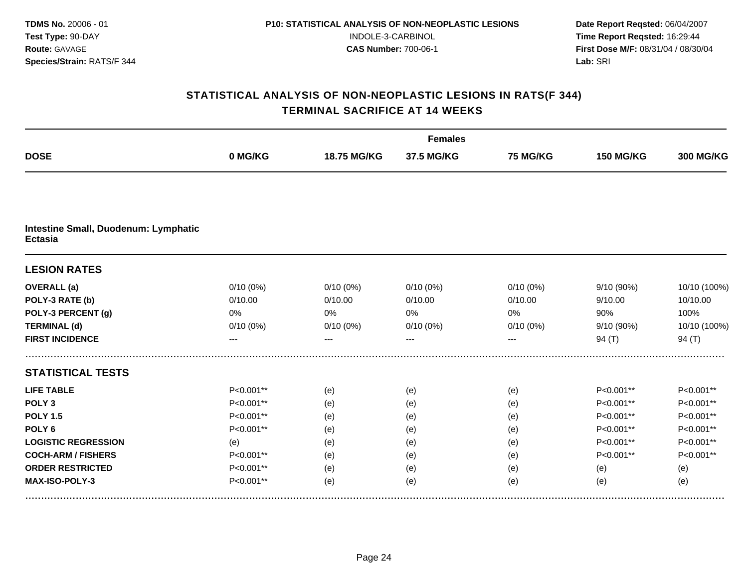|                                                        |             |             | <b>Females</b> |                 |                  |                  |
|--------------------------------------------------------|-------------|-------------|----------------|-----------------|------------------|------------------|
| <b>DOSE</b>                                            | 0 MG/KG     | 18.75 MG/KG | 37.5 MG/KG     | <b>75 MG/KG</b> | <b>150 MG/KG</b> | <b>300 MG/KG</b> |
|                                                        |             |             |                |                 |                  |                  |
| Intestine Small, Duodenum: Lymphatic<br><b>Ectasia</b> |             |             |                |                 |                  |                  |
| <b>LESION RATES</b>                                    |             |             |                |                 |                  |                  |
| <b>OVERALL</b> (a)                                     | $0/10(0\%)$ | $0/10(0\%)$ | $0/10(0\%)$    | $0/10(0\%)$     | 9/10 (90%)       | 10/10 (100%)     |
| POLY-3 RATE (b)                                        | 0/10.00     | 0/10.00     | 0/10.00        | 0/10.00         | 9/10.00          | 10/10.00         |
| POLY-3 PERCENT (g)                                     | 0%          | 0%          | 0%             | 0%              | 90%              | 100%             |
| <b>TERMINAL (d)</b>                                    | $0/10(0\%)$ | $0/10(0\%)$ | $0/10(0\%)$    | $0/10(0\%)$     | 9/10 (90%)       | 10/10 (100%)     |
| <b>FIRST INCIDENCE</b>                                 |             |             | ---            |                 | 94 $(T)$         | 94 $(T)$         |
| <b>STATISTICAL TESTS</b>                               |             |             |                |                 |                  |                  |
| <b>LIFE TABLE</b>                                      | P<0.001**   | (e)         | (e)            | (e)             | P<0.001**        | P<0.001**        |
| POLY <sub>3</sub>                                      | P<0.001**   | (e)         | (e)            | (e)             | P<0.001**        | P<0.001**        |
| <b>POLY 1.5</b>                                        | P<0.001**   | (e)         | (e)            | (e)             | P<0.001**        | P<0.001**        |
| POLY <sub>6</sub>                                      | P<0.001**   | (e)         | (e)            | (e)             | P<0.001**        | P<0.001**        |
| <b>LOGISTIC REGRESSION</b>                             | (e)         | (e)         | (e)            | (e)             | P<0.001**        | P<0.001**        |
| <b>COCH-ARM / FISHERS</b>                              | P<0.001**   | (e)         | (e)            | (e)             | P<0.001**        | P<0.001**        |
| <b>ORDER RESTRICTED</b>                                | P<0.001**   | (e)         | (e)            | (e)             | (e)              | (e)              |
| MAX-ISO-POLY-3                                         | P<0.001**   | (e)         | (e)            | (e)             | (e)              | (e)              |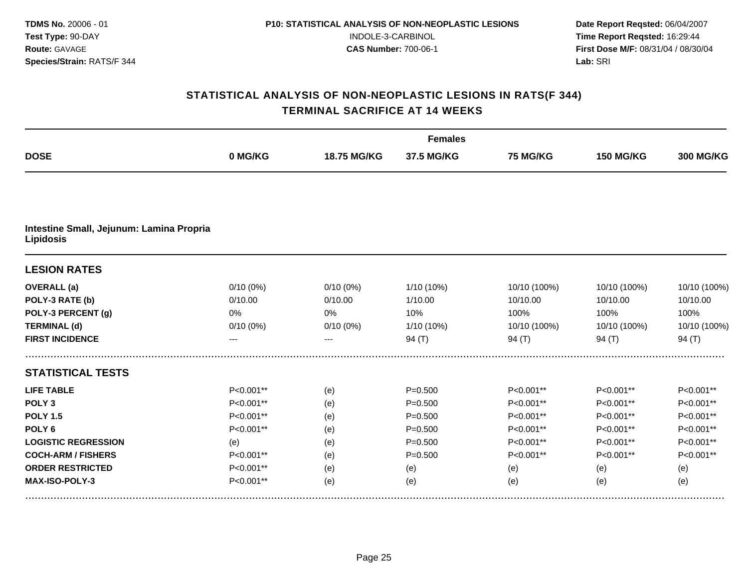|                                                              | <b>Females</b> |             |             |                 |                  |                  |  |  |  |
|--------------------------------------------------------------|----------------|-------------|-------------|-----------------|------------------|------------------|--|--|--|
| <b>DOSE</b>                                                  | 0 MG/KG        | 18.75 MG/KG | 37.5 MG/KG  | <b>75 MG/KG</b> | <b>150 MG/KG</b> | <b>300 MG/KG</b> |  |  |  |
|                                                              |                |             |             |                 |                  |                  |  |  |  |
| Intestine Small, Jejunum: Lamina Propria<br><b>Lipidosis</b> |                |             |             |                 |                  |                  |  |  |  |
| <b>LESION RATES</b>                                          |                |             |             |                 |                  |                  |  |  |  |
| <b>OVERALL</b> (a)                                           | $0/10(0\%)$    | $0/10(0\%)$ | 1/10 (10%)  | 10/10 (100%)    | 10/10 (100%)     | 10/10 (100%)     |  |  |  |
| POLY-3 RATE (b)                                              | 0/10.00        | 0/10.00     | 1/10.00     | 10/10.00        | 10/10.00         | 10/10.00         |  |  |  |
| POLY-3 PERCENT (g)                                           | 0%             | 0%          | 10%         | 100%            | 100%             | 100%             |  |  |  |
| <b>TERMINAL (d)</b>                                          | $0/10(0\%)$    | $0/10(0\%)$ | 1/10 (10%)  | 10/10 (100%)    | 10/10 (100%)     | 10/10 (100%)     |  |  |  |
| <b>FIRST INCIDENCE</b>                                       |                | ---         | 94 $(T)$    | 94 (T)          | 94 $(T)$         | 94 $(T)$         |  |  |  |
| <b>STATISTICAL TESTS</b>                                     |                |             |             |                 |                  |                  |  |  |  |
| <b>LIFE TABLE</b>                                            | P<0.001**      | (e)         | $P = 0.500$ | P<0.001**       | P<0.001**        | P<0.001**        |  |  |  |
| POLY <sub>3</sub>                                            | P<0.001**      | (e)         | $P = 0.500$ | P<0.001**       | P<0.001**        | P<0.001**        |  |  |  |
| <b>POLY 1.5</b>                                              | P<0.001**      | (e)         | $P = 0.500$ | P<0.001**       | P<0.001**        | P<0.001**        |  |  |  |
| POLY <sub>6</sub>                                            | P<0.001**      | (e)         | $P = 0.500$ | P<0.001**       | P<0.001**        | P<0.001**        |  |  |  |
| <b>LOGISTIC REGRESSION</b>                                   | (e)            | (e)         | $P = 0.500$ | P<0.001**       | P<0.001**        | P<0.001**        |  |  |  |
| <b>COCH-ARM / FISHERS</b>                                    | P<0.001**      | (e)         | $P = 0.500$ | P<0.001**       | P<0.001**        | P<0.001**        |  |  |  |
| <b>ORDER RESTRICTED</b>                                      | P<0.001**      | (e)         | (e)         | (e)             | (e)              | (e)              |  |  |  |
| MAX-ISO-POLY-3                                               | P<0.001**      | (e)         | (e)         | (e)             | (e)              | (e)              |  |  |  |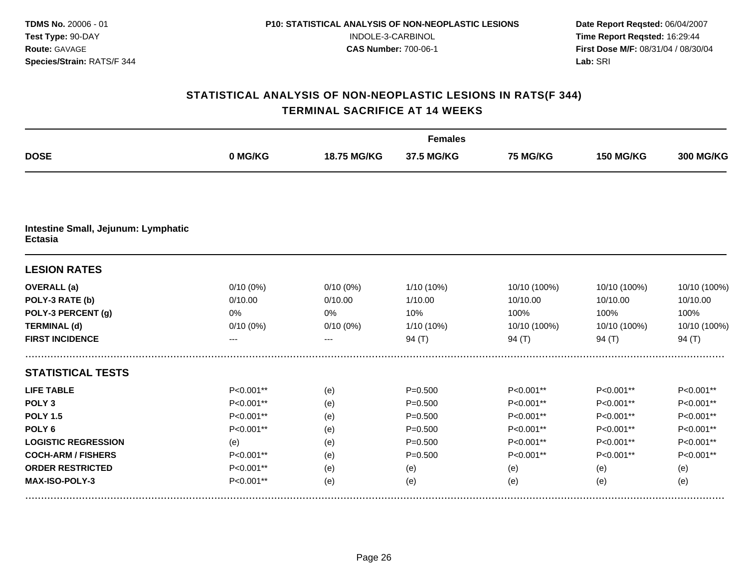|                                                       |             |             | <b>Females</b> |                 |                  |                  |  |
|-------------------------------------------------------|-------------|-------------|----------------|-----------------|------------------|------------------|--|
| <b>DOSE</b>                                           | 0 MG/KG     | 18.75 MG/KG | 37.5 MG/KG     | <b>75 MG/KG</b> | <b>150 MG/KG</b> | <b>300 MG/KG</b> |  |
|                                                       |             |             |                |                 |                  |                  |  |
| Intestine Small, Jejunum: Lymphatic<br><b>Ectasia</b> |             |             |                |                 |                  |                  |  |
| <b>LESION RATES</b>                                   |             |             |                |                 |                  |                  |  |
| <b>OVERALL</b> (a)                                    | $0/10(0\%)$ | $0/10(0\%)$ | 1/10 (10%)     | 10/10 (100%)    | 10/10 (100%)     | 10/10 (100%)     |  |
| POLY-3 RATE (b)                                       | 0/10.00     | 0/10.00     | 1/10.00        | 10/10.00        | 10/10.00         | 10/10.00         |  |
| POLY-3 PERCENT (g)                                    | 0%          | 0%          | 10%            | 100%            | 100%             | 100%             |  |
| <b>TERMINAL (d)</b>                                   | $0/10(0\%)$ | $0/10(0\%)$ | 1/10 (10%)     | 10/10 (100%)    | 10/10 (100%)     | 10/10 (100%)     |  |
| <b>FIRST INCIDENCE</b>                                |             | ---         | 94 $(T)$       | 94 $(T)$        | 94(T)            | 94 $(T)$         |  |
| <b>STATISTICAL TESTS</b>                              |             |             |                |                 |                  |                  |  |
| <b>LIFE TABLE</b>                                     | P<0.001**   | (e)         | $P = 0.500$    | P<0.001**       | P<0.001**        | P<0.001**        |  |
| POLY <sub>3</sub>                                     | P<0.001**   | (e)         | $P = 0.500$    | P<0.001**       | P<0.001**        | P<0.001**        |  |
| <b>POLY 1.5</b>                                       | P<0.001**   | (e)         | $P = 0.500$    | P<0.001**       | P<0.001**        | P<0.001**        |  |
| POLY <sub>6</sub>                                     | P<0.001**   | (e)         | $P = 0.500$    | P<0.001**       | P<0.001**        | P<0.001**        |  |
| <b>LOGISTIC REGRESSION</b>                            | (e)         | (e)         | $P = 0.500$    | P<0.001**       | P<0.001**        | P<0.001**        |  |
| <b>COCH-ARM / FISHERS</b>                             | P<0.001**   | (e)         | $P = 0.500$    | P<0.001**       | P<0.001**        | P<0.001**        |  |
| <b>ORDER RESTRICTED</b>                               | P<0.001**   | (e)         | (e)            | (e)             | (e)              | (e)              |  |
| MAX-ISO-POLY-3                                        | P<0.001**   | (e)         | (e)            | (e)             | (e)              | (e)              |  |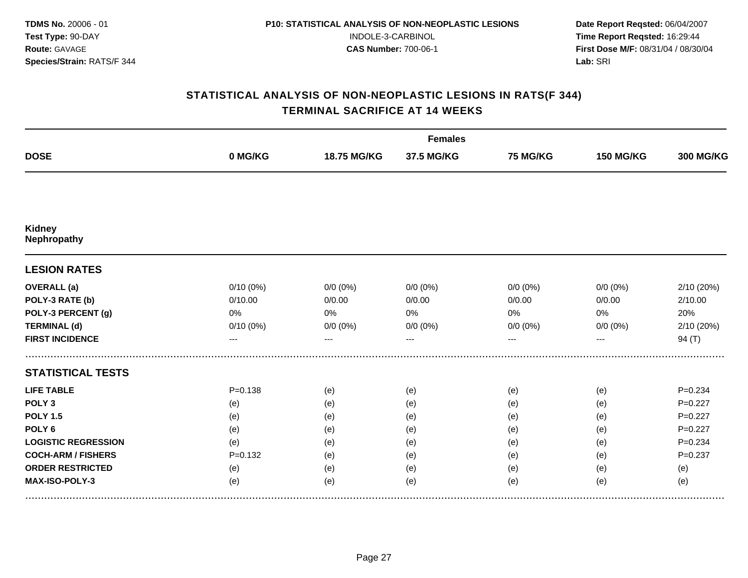|                              |             |             | <b>Females</b> |                 |                  |                  |
|------------------------------|-------------|-------------|----------------|-----------------|------------------|------------------|
| <b>DOSE</b>                  | 0 MG/KG     | 18.75 MG/KG | 37.5 MG/KG     | <b>75 MG/KG</b> | <b>150 MG/KG</b> | <b>300 MG/KG</b> |
|                              |             |             |                |                 |                  |                  |
| Kidney<br><b>Nephropathy</b> |             |             |                |                 |                  |                  |
| <b>LESION RATES</b>          |             |             |                |                 |                  |                  |
| <b>OVERALL</b> (a)           | 0/10(0%)    | $0/0 (0\%)$ | $0/0(0\%)$     | $0/0 (0\%)$     | $0/0 (0\%)$      | 2/10 (20%)       |
| POLY-3 RATE (b)              | 0/10.00     | 0/0.00      | 0/0.00         | 0/0.00          | 0/0.00           | 2/10.00          |
| POLY-3 PERCENT (g)           | 0%          | 0%          | 0%             | 0%              | 0%               | 20%              |
| <b>TERMINAL (d)</b>          | 0/10(0%)    | $0/0 (0\%)$ | $0/0 (0\%)$    | $0/0 (0\%)$     | $0/0 (0\%)$      | 2/10 (20%)       |
| <b>FIRST INCIDENCE</b>       | ---         | $---$       | $---$          | ---             | ---              | 94(T)            |
| <b>STATISTICAL TESTS</b>     |             |             |                |                 |                  |                  |
| <b>LIFE TABLE</b>            | $P = 0.138$ | (e)         | (e)            | (e)             | (e)              | $P = 0.234$      |
| POLY <sub>3</sub>            | (e)         | (e)         | (e)            | (e)             | (e)              | $P=0.227$        |
| <b>POLY 1.5</b>              | (e)         | (e)         | (e)            | (e)             | (e)              | $P=0.227$        |
| POLY <sub>6</sub>            | (e)         | (e)         | (e)            | (e)             | (e)              | $P=0.227$        |
| <b>LOGISTIC REGRESSION</b>   | (e)         | (e)         | (e)            | (e)             | (e)              | $P = 0.234$      |
| <b>COCH-ARM / FISHERS</b>    | $P=0.132$   | (e)         | (e)            | (e)             | (e)              | $P = 0.237$      |
| <b>ORDER RESTRICTED</b>      | (e)         | (e)         | (e)            | (e)             | (e)              | (e)              |
| MAX-ISO-POLY-3               | (e)         | (e)         | (e)            | (e)             | (e)              | (e)              |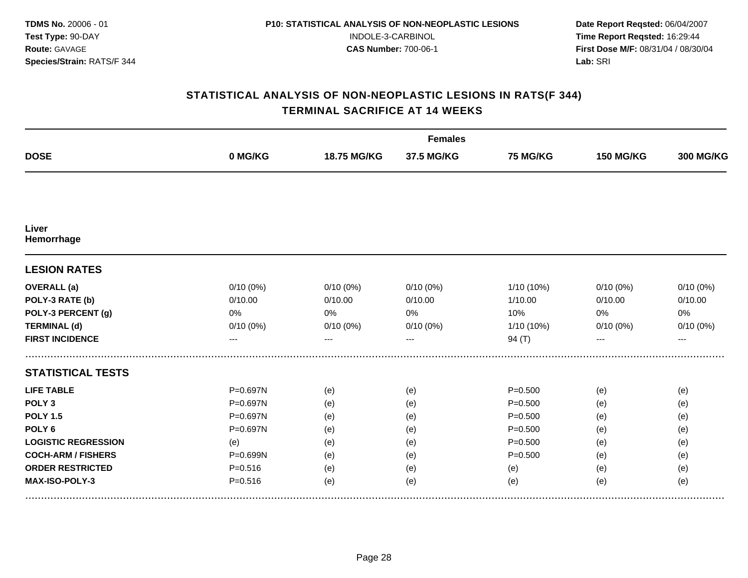|                            |              |             | <b>Females</b> |                 |                  |                  |
|----------------------------|--------------|-------------|----------------|-----------------|------------------|------------------|
| <b>DOSE</b>                | 0 MG/KG      | 18.75 MG/KG | 37.5 MG/KG     | <b>75 MG/KG</b> | <b>150 MG/KG</b> | <b>300 MG/KG</b> |
|                            |              |             |                |                 |                  |                  |
| Liver<br>Hemorrhage        |              |             |                |                 |                  |                  |
| <b>LESION RATES</b>        |              |             |                |                 |                  |                  |
| <b>OVERALL</b> (a)         | $0/10(0\%)$  | $0/10(0\%)$ | $0/10(0\%)$    | 1/10 (10%)      | 0/10(0%)         | $0/10(0\%)$      |
| POLY-3 RATE (b)            | 0/10.00      | 0/10.00     | 0/10.00        | 1/10.00         | 0/10.00          | 0/10.00          |
| POLY-3 PERCENT (g)         | 0%           | 0%          | 0%             | 10%             | 0%               | 0%               |
| <b>TERMINAL (d)</b>        | $0/10(0\%)$  | $0/10(0\%)$ | 0/10(0%)       | 1/10 (10%)      | 0/10(0%)         | $0/10(0\%)$      |
| <b>FIRST INCIDENCE</b>     | ---          |             | ---            | 94(T)           |                  | ---              |
| <b>STATISTICAL TESTS</b>   |              |             |                |                 |                  |                  |
| <b>LIFE TABLE</b>          | P=0.697N     | (e)         | (e)            | $P = 0.500$     | (e)              | (e)              |
| POLY <sub>3</sub>          | $P = 0.697N$ | (e)         | (e)            | $P = 0.500$     | (e)              | (e)              |
| <b>POLY 1.5</b>            | P=0.697N     | (e)         | (e)            | $P = 0.500$     | (e)              | (e)              |
| POLY <sub>6</sub>          | P=0.697N     | (e)         | (e)            | $P = 0.500$     | (e)              | (e)              |
| <b>LOGISTIC REGRESSION</b> | (e)          | (e)         | (e)            | $P = 0.500$     | (e)              | (e)              |
| <b>COCH-ARM / FISHERS</b>  | P=0.699N     | (e)         | (e)            | $P = 0.500$     | (e)              | (e)              |
| <b>ORDER RESTRICTED</b>    | $P = 0.516$  | (e)         | (e)            | (e)             | (e)              | (e)              |
| MAX-ISO-POLY-3             | $P = 0.516$  | (e)         | (e)            | (e)             | (e)              | (e)              |
|                            |              |             |                |                 |                  |                  |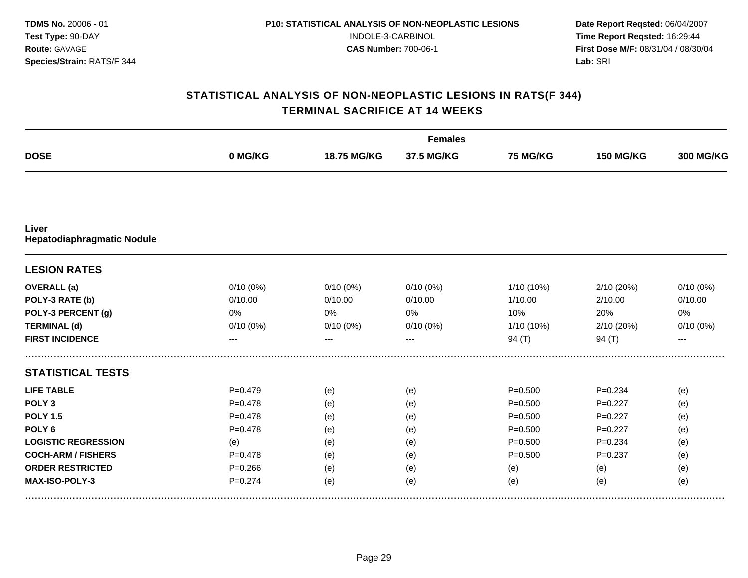|             |             | <b>Females</b> |             |                  |                  |  |
|-------------|-------------|----------------|-------------|------------------|------------------|--|
| 0 MG/KG     | 18.75 MG/KG | 37.5 MG/KG     | 75 MG/KG    | <b>150 MG/KG</b> | <b>300 MG/KG</b> |  |
|             |             |                |             |                  |                  |  |
|             |             |                |             |                  |                  |  |
|             |             |                |             |                  |                  |  |
|             |             |                |             |                  | $0/10(0\%)$      |  |
| 0/10.00     | 0/10.00     | 0/10.00        | 1/10.00     | 2/10.00          | 0/10.00          |  |
| 0%          | 0%          | 0%             | 10%         | 20%              | 0%               |  |
| $0/10(0\%)$ | $0/10(0\%)$ | 0/10(0%)       | 1/10 (10%)  | 2/10 (20%)       | $0/10(0\%)$      |  |
| ---         | ---         | ---            | 94 $(T)$    | 94 $(T)$         | $---$            |  |
|             |             |                |             |                  |                  |  |
| $P = 0.479$ | (e)         | (e)            | $P = 0.500$ | $P = 0.234$      | (e)              |  |
| $P = 0.478$ | (e)         | (e)            | $P = 0.500$ | $P=0.227$        | (e)              |  |
| $P = 0.478$ | (e)         | (e)            | $P = 0.500$ | $P=0.227$        | (e)              |  |
| $P = 0.478$ | (e)         | (e)            | $P = 0.500$ | $P = 0.227$      | (e)              |  |
| (e)         | (e)         | (e)            | $P = 0.500$ | $P = 0.234$      | (e)              |  |
| $P = 0.478$ | (e)         | (e)            | $P = 0.500$ | $P = 0.237$      | (e)              |  |
| $P = 0.266$ | (e)         | (e)            | (e)         | (e)              | (e)              |  |
| $P = 0.274$ | (e)         | (e)            | (e)         | (e)              | (e)              |  |
|             | $0/10(0\%)$ | $0/10(0\%)$    | $0/10(0\%)$ | 1/10 (10%)       | 2/10 (20%)       |  |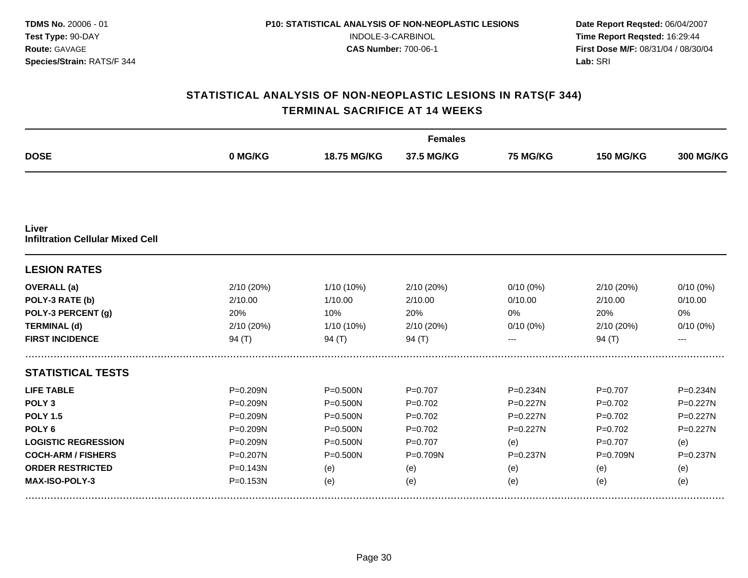| <b>DOSE</b>                                      |              |              | <b>Females</b> |              |                  |                  |  |
|--------------------------------------------------|--------------|--------------|----------------|--------------|------------------|------------------|--|
|                                                  | 0 MG/KG      | 18.75 MG/KG  | 37.5 MG/KG     | 75 MG/KG     | <b>150 MG/KG</b> | <b>300 MG/KG</b> |  |
|                                                  |              |              |                |              |                  |                  |  |
| Liver<br><b>Infiltration Cellular Mixed Cell</b> |              |              |                |              |                  |                  |  |
| <b>LESION RATES</b>                              |              |              |                |              |                  |                  |  |
| <b>OVERALL</b> (a)                               | 2/10(20%)    | 1/10 (10%)   | 2/10 (20%)     | $0/10(0\%)$  | 2/10(20%)        | $0/10(0\%)$      |  |
| POLY-3 RATE (b)                                  | 2/10.00      | 1/10.00      | 2/10.00        | 0/10.00      | 2/10.00          | 0/10.00          |  |
| POLY-3 PERCENT (g)                               | 20%          | 10%          | 20%            | 0%           | 20%              | 0%               |  |
| <b>TERMINAL (d)</b>                              | 2/10 (20%)   | 1/10 (10%)   | 2/10 (20%)     | 0/10(0%)     | 2/10 (20%)       | $0/10(0\%)$      |  |
| <b>FIRST INCIDENCE</b>                           | 94 $(T)$     | 94 (T)       | 94 (T)         |              | 94 (T)           | ---              |  |
| <b>STATISTICAL TESTS</b>                         |              |              |                |              |                  |                  |  |
| <b>LIFE TABLE</b>                                | P=0.209N     | $P = 0.500N$ | $P=0.707$      | P=0.234N     | $P=0.707$        | P=0.234N         |  |
| POLY <sub>3</sub>                                | $P = 0.209N$ | $P = 0.500N$ | $P = 0.702$    | $P = 0.227N$ | $P=0.702$        | $P = 0.227N$     |  |
| <b>POLY 1.5</b>                                  | P=0.209N     | $P = 0.500N$ | $P=0.702$      | P=0.227N     | $P=0.702$        | $P=0.227N$       |  |
| POLY <sub>6</sub>                                | P=0.209N     | $P = 0.500N$ | $P=0.702$      | $P = 0.227N$ | $P=0.702$        | $P = 0.227N$     |  |
| <b>LOGISTIC REGRESSION</b>                       | $P = 0.209N$ | $P = 0.500N$ | $P=0.707$      | (e)          | $P = 0.707$      | (e)              |  |
| <b>COCH-ARM / FISHERS</b>                        | P=0.207N     | $P = 0.500N$ | P=0.709N       | P=0.237N     | P=0.709N         | $P = 0.237N$     |  |
| <b>ORDER RESTRICTED</b>                          | $P = 0.143N$ | (e)          | (e)            | (e)          | (e)              | (e)              |  |
| MAX-ISO-POLY-3                                   | $P = 0.153N$ | (e)          | (e)            | (e)          | (e)              | (e)              |  |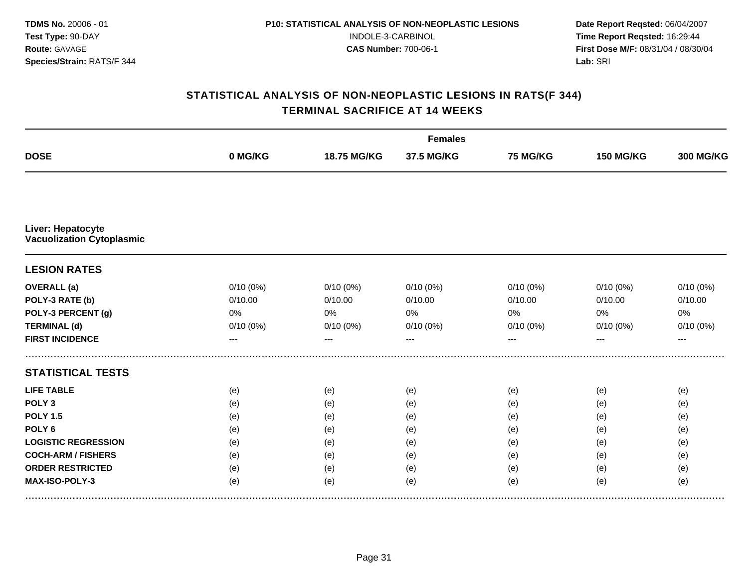|                                                       |          |             | <b>Females</b> |                 |                  |                  |  |
|-------------------------------------------------------|----------|-------------|----------------|-----------------|------------------|------------------|--|
| <b>DOSE</b>                                           | 0 MG/KG  | 18.75 MG/KG | 37.5 MG/KG     | <b>75 MG/KG</b> | <b>150 MG/KG</b> | <b>300 MG/KG</b> |  |
|                                                       |          |             |                |                 |                  |                  |  |
| Liver: Hepatocyte<br><b>Vacuolization Cytoplasmic</b> |          |             |                |                 |                  |                  |  |
| <b>LESION RATES</b>                                   |          |             |                |                 |                  |                  |  |
| <b>OVERALL</b> (a)                                    | 0/10(0%) | $0/10(0\%)$ | 0/10(0%)       | 0/10(0%)        | $0/10(0\%)$      | $0/10(0\%)$      |  |
| POLY-3 RATE (b)                                       | 0/10.00  | 0/10.00     | 0/10.00        | 0/10.00         | 0/10.00          | 0/10.00          |  |
| POLY-3 PERCENT (g)                                    | 0%       | 0%          | 0%             | 0%              | 0%               | 0%               |  |
| <b>TERMINAL (d)</b>                                   | 0/10(0%) | $0/10(0\%)$ | $0/10(0\%)$    | 0/10(0%)        | 0/10(0%)         | 0/10(0%)         |  |
| <b>FIRST INCIDENCE</b>                                | ---      | ---         | $---$          | ---             | ---              | $---$            |  |
| <b>STATISTICAL TESTS</b>                              |          |             |                |                 |                  |                  |  |
| <b>LIFE TABLE</b>                                     | (e)      | (e)         | (e)            | (e)             | (e)              | (e)              |  |
| POLY <sub>3</sub>                                     | (e)      | (e)         | (e)            | (e)             | (e)              | (e)              |  |
| <b>POLY 1.5</b>                                       | (e)      | (e)         | (e)            | (e)             | (e)              | (e)              |  |
| POLY <sub>6</sub>                                     | (e)      | (e)         | (e)            | (e)             | (e)              | (e)              |  |
| <b>LOGISTIC REGRESSION</b>                            | (e)      | (e)         | (e)            | (e)             | (e)              | (e)              |  |
| <b>COCH-ARM / FISHERS</b>                             | (e)      | (e)         | (e)            | (e)             | (e)              | (e)              |  |
| <b>ORDER RESTRICTED</b>                               | (e)      | (e)         | (e)            | (e)             | (e)              | (e)              |  |
| MAX-ISO-POLY-3                                        | (e)      | (e)         | (e)            | (e)             | (e)              | (e)              |  |
|                                                       |          |             |                |                 |                  |                  |  |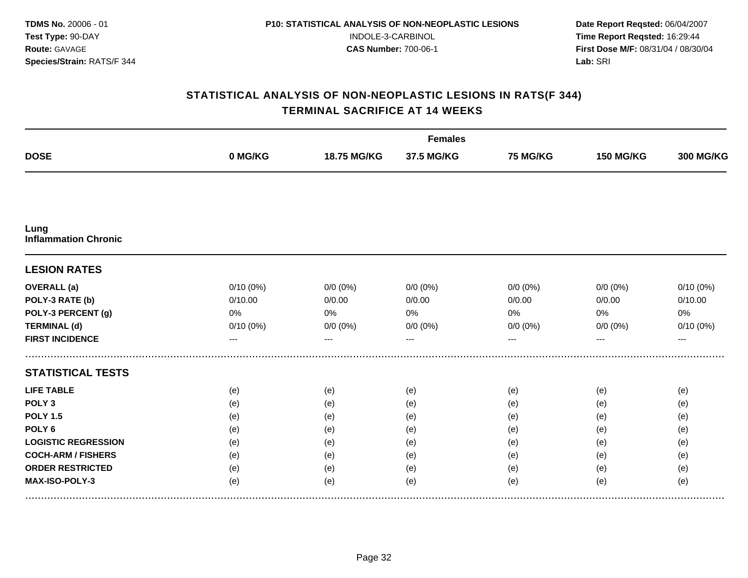| <b>DOSE</b>                         |             |             | <b>Females</b> |                 |                  |                  |  |
|-------------------------------------|-------------|-------------|----------------|-----------------|------------------|------------------|--|
|                                     | 0 MG/KG     | 18.75 MG/KG | 37.5 MG/KG     | <b>75 MG/KG</b> | <b>150 MG/KG</b> | <b>300 MG/KG</b> |  |
|                                     |             |             |                |                 |                  |                  |  |
| Lung<br><b>Inflammation Chronic</b> |             |             |                |                 |                  |                  |  |
| <b>LESION RATES</b>                 |             |             |                |                 |                  |                  |  |
| <b>OVERALL</b> (a)                  | $0/10(0\%)$ | $0/0 (0\%)$ | $0/0(0\%)$     | $0/0 (0\%)$     | $0/0 (0\%)$      | $0/10(0\%)$      |  |
| POLY-3 RATE (b)                     | 0/10.00     | 0/0.00      | 0/0.00         | 0/0.00          | 0/0.00           | 0/10.00          |  |
| POLY-3 PERCENT (g)                  | 0%          | 0%          | 0%             | 0%              | 0%               | 0%               |  |
| <b>TERMINAL (d)</b>                 | 0/10(0%)    | $0/0 (0\%)$ | $0/0(0\%)$     | $0/0 (0\%)$     | $0/0 (0\%)$      | 0/10(0%)         |  |
| <b>FIRST INCIDENCE</b>              | ---         | ---         | ---            | ---             | ---              | ---              |  |
| <b>STATISTICAL TESTS</b>            |             |             |                |                 |                  |                  |  |
| <b>LIFE TABLE</b>                   | (e)         | (e)         | (e)            | (e)             | (e)              | (e)              |  |
| POLY <sub>3</sub>                   | (e)         | (e)         | (e)            | (e)             | (e)              | (e)              |  |
| <b>POLY 1.5</b>                     | (e)         | (e)         | (e)            | (e)             | (e)              | (e)              |  |
| POLY <sub>6</sub>                   | (e)         | (e)         | (e)            | (e)             | (e)              | (e)              |  |
| <b>LOGISTIC REGRESSION</b>          | (e)         | (e)         | (e)            | (e)             | (e)              | (e)              |  |
| <b>COCH-ARM / FISHERS</b>           | (e)         | (e)         | (e)            | (e)             | (e)              | (e)              |  |
| <b>ORDER RESTRICTED</b>             | (e)         | (e)         | (e)            | (e)             | (e)              | (e)              |  |
| MAX-ISO-POLY-3                      | (e)         | (e)         | (e)            | (e)             | (e)              | (e)              |  |
|                                     |             |             |                |                 |                  |                  |  |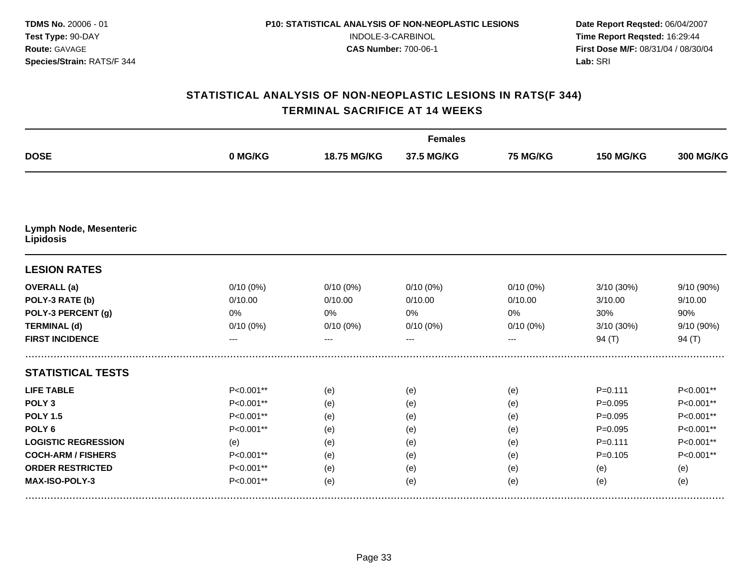|                                            |             |             | <b>Females</b> |             |                  |                  |
|--------------------------------------------|-------------|-------------|----------------|-------------|------------------|------------------|
| <b>DOSE</b>                                | 0 MG/KG     | 18.75 MG/KG | 37.5 MG/KG     | 75 MG/KG    | <b>150 MG/KG</b> | <b>300 MG/KG</b> |
|                                            |             |             |                |             |                  |                  |
| <b>Lymph Node, Mesenteric</b><br>Lipidosis |             |             |                |             |                  |                  |
| <b>LESION RATES</b>                        |             |             |                |             |                  |                  |
| <b>OVERALL</b> (a)                         | $0/10(0\%)$ | $0/10(0\%)$ | $0/10(0\%)$    | $0/10(0\%)$ | 3/10(30%)        | 9/10 (90%)       |
| POLY-3 RATE (b)                            | 0/10.00     | 0/10.00     | 0/10.00        | 0/10.00     | 3/10.00          | 9/10.00          |
| POLY-3 PERCENT (g)                         | 0%          | 0%          | 0%             | 0%          | 30%              | 90%              |
| <b>TERMINAL (d)</b>                        | $0/10(0\%)$ | $0/10(0\%)$ | $0/10(0\%)$    | 0/10(0%)    | 3/10 (30%)       | 9/10 (90%)       |
| <b>FIRST INCIDENCE</b>                     | ---         |             | ---            | ---         | 94 $(T)$         | 94 (T)           |
| <b>STATISTICAL TESTS</b>                   |             |             |                |             |                  |                  |
| <b>LIFE TABLE</b>                          | P<0.001**   | (e)         | (e)            | (e)         | $P = 0.111$      | P<0.001**        |
| POLY <sub>3</sub>                          | P<0.001**   | (e)         | (e)            | (e)         | $P = 0.095$      | P<0.001**        |
| <b>POLY 1.5</b>                            | P<0.001**   | (e)         | (e)            | (e)         | $P = 0.095$      | P<0.001**        |
| POLY <sub>6</sub>                          | P<0.001**   | (e)         | (e)            | (e)         | $P=0.095$        | P<0.001**        |
| <b>LOGISTIC REGRESSION</b>                 | (e)         | (e)         | (e)            | (e)         | $P = 0.111$      | P<0.001**        |
| <b>COCH-ARM / FISHERS</b>                  | P<0.001**   | (e)         | (e)            | (e)         | $P = 0.105$      | P<0.001**        |
| <b>ORDER RESTRICTED</b>                    | P<0.001**   | (e)         | (e)            | (e)         | (e)              | (e)              |
| MAX-ISO-POLY-3                             | P<0.001**   | (e)         | (e)            | (e)         | (e)              | (e)              |
|                                            |             |             |                |             |                  |                  |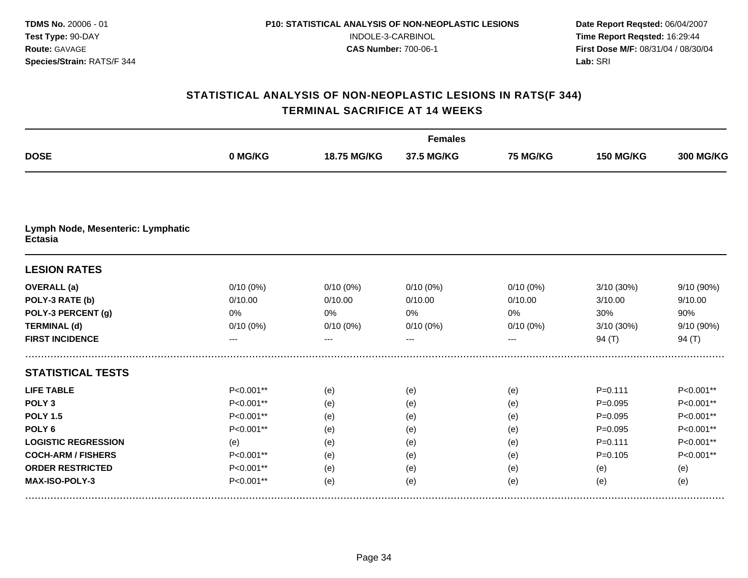|                                                     |             |             | <b>Females</b> |             |                  |                  |
|-----------------------------------------------------|-------------|-------------|----------------|-------------|------------------|------------------|
| <b>DOSE</b>                                         | 0 MG/KG     | 18.75 MG/KG | 37.5 MG/KG     | 75 MG/KG    | <b>150 MG/KG</b> | <b>300 MG/KG</b> |
|                                                     |             |             |                |             |                  |                  |
| Lymph Node, Mesenteric: Lymphatic<br><b>Ectasia</b> |             |             |                |             |                  |                  |
| <b>LESION RATES</b>                                 |             |             |                |             |                  |                  |
| <b>OVERALL</b> (a)                                  | $0/10(0\%)$ | $0/10(0\%)$ | $0/10(0\%)$    | $0/10(0\%)$ | 3/10(30%)        | 9/10 (90%)       |
| POLY-3 RATE (b)                                     | 0/10.00     | 0/10.00     | 0/10.00        | 0/10.00     | 3/10.00          | 9/10.00          |
| POLY-3 PERCENT (g)                                  | 0%          | 0%          | 0%             | 0%          | 30%              | 90%              |
| <b>TERMINAL (d)</b>                                 | $0/10(0\%)$ | $0/10(0\%)$ | $0/10(0\%)$    | $0/10(0\%)$ | 3/10 (30%)       | 9/10 (90%)       |
| <b>FIRST INCIDENCE</b>                              | ---         |             | ---            |             | 94 $(T)$         | 94 $(T)$         |
| <b>STATISTICAL TESTS</b>                            |             |             |                |             |                  |                  |
| <b>LIFE TABLE</b>                                   | P<0.001**   | (e)         | (e)            | (e)         | $P = 0.111$      | P<0.001**        |
| POLY <sub>3</sub>                                   | P<0.001**   | (e)         | (e)            | (e)         | $P = 0.095$      | P<0.001**        |
| <b>POLY 1.5</b>                                     | P<0.001**   | (e)         | (e)            | (e)         | $P = 0.095$      | P<0.001**        |
| POLY <sub>6</sub>                                   | P<0.001**   | (e)         | (e)            | (e)         | $P=0.095$        | P<0.001**        |
| <b>LOGISTIC REGRESSION</b>                          | (e)         | (e)         | (e)            | (e)         | $P = 0.111$      | P<0.001**        |
| <b>COCH-ARM / FISHERS</b>                           | P<0.001**   | (e)         | (e)            | (e)         | $P = 0.105$      | P<0.001**        |
| <b>ORDER RESTRICTED</b>                             | P<0.001**   | (e)         | (e)            | (e)         | (e)              | (e)              |
| MAX-ISO-POLY-3                                      | P<0.001**   | (e)         | (e)            | (e)         | (e)              | (e)              |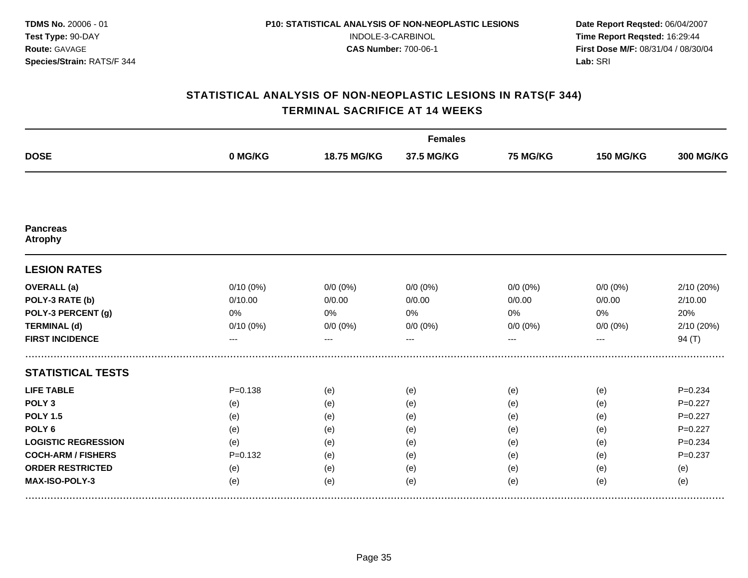| <b>DOSE</b>                       |             |             | <b>Females</b> |                 |                  |                  |
|-----------------------------------|-------------|-------------|----------------|-----------------|------------------|------------------|
|                                   | 0 MG/KG     | 18.75 MG/KG | 37.5 MG/KG     | <b>75 MG/KG</b> | <b>150 MG/KG</b> | <b>300 MG/KG</b> |
|                                   |             |             |                |                 |                  |                  |
| <b>Pancreas</b><br><b>Atrophy</b> |             |             |                |                 |                  |                  |
| <b>LESION RATES</b>               |             |             |                |                 |                  |                  |
| <b>OVERALL</b> (a)                | $0/10(0\%)$ | $0/0 (0\%)$ | $0/0(0\%)$     | $0/0 (0\%)$     | $0/0 (0\%)$      | 2/10 (20%)       |
| POLY-3 RATE (b)                   | 0/10.00     | 0/0.00      | 0/0.00         | 0/0.00          | 0/0.00           | 2/10.00          |
| POLY-3 PERCENT (g)                | 0%          | 0%          | 0%             | 0%              | 0%               | 20%              |
| <b>TERMINAL (d)</b>               | $0/10(0\%)$ | $0/0 (0\%)$ | $0/0 (0\%)$    | $0/0 (0\%)$     | $0/0 (0\%)$      | 2/10 (20%)       |
| <b>FIRST INCIDENCE</b>            | ---         | ---         | ---            | ---             | ---              | 94 (T)           |
| <b>STATISTICAL TESTS</b>          |             |             |                |                 |                  |                  |
| <b>LIFE TABLE</b>                 | $P = 0.138$ | (e)         | (e)            | (e)             | (e)              | $P = 0.234$      |
| POLY <sub>3</sub>                 | (e)         | (e)         | (e)            | (e)             | (e)              | $P=0.227$        |
| <b>POLY 1.5</b>                   | (e)         | (e)         | (e)            | (e)             | (e)              | $P=0.227$        |
| POLY <sub>6</sub>                 | (e)         | (e)         | (e)            | (e)             | (e)              | $P=0.227$        |
| <b>LOGISTIC REGRESSION</b>        | (e)         | (e)         | (e)            | (e)             | (e)              | $P = 0.234$      |
| <b>COCH-ARM / FISHERS</b>         | $P = 0.132$ | (e)         | (e)            | (e)             | (e)              | $P = 0.237$      |
| <b>ORDER RESTRICTED</b>           | (e)         | (e)         | (e)            | (e)             | (e)              | (e)              |
| MAX-ISO-POLY-3                    | (e)         | (e)         | (e)            | (e)             | (e)              | (e)              |
|                                   |             |             |                |                 |                  |                  |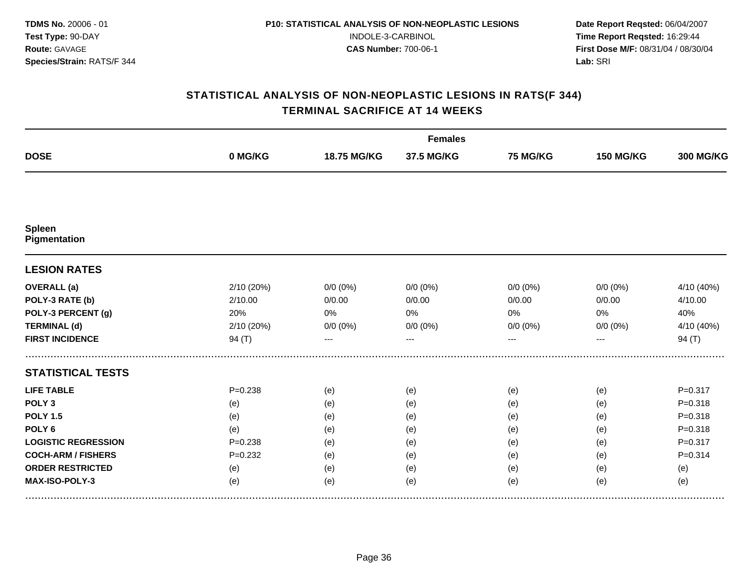|                            |             |             | <b>Females</b> |                 |                  |                  |
|----------------------------|-------------|-------------|----------------|-----------------|------------------|------------------|
| <b>DOSE</b>                | 0 MG/KG     | 18.75 MG/KG | 37.5 MG/KG     | <b>75 MG/KG</b> | <b>150 MG/KG</b> | <b>300 MG/KG</b> |
|                            |             |             |                |                 |                  |                  |
| Spleen<br>Pigmentation     |             |             |                |                 |                  |                  |
| <b>LESION RATES</b>        |             |             |                |                 |                  |                  |
| <b>OVERALL</b> (a)         | 2/10 (20%)  | $0/0 (0\%)$ | $0/0(0\%)$     | $0/0 (0\%)$     | $0/0 (0\%)$      | 4/10 (40%)       |
| POLY-3 RATE (b)            | 2/10.00     | 0/0.00      | 0/0.00         | 0/0.00          | 0/0.00           | 4/10.00          |
| POLY-3 PERCENT (g)         | 20%         | 0%          | 0%             | 0%              | 0%               | 40%              |
| <b>TERMINAL (d)</b>        | 2/10 (20%)  | $0/0 (0\%)$ | $0/0 (0\%)$    | $0/0 (0\%)$     | $0/0 (0\%)$      | 4/10 (40%)       |
| <b>FIRST INCIDENCE</b>     | 94(T)       | $---$       | $---$          | ---             | ---              | 94 $(T)$         |
| <b>STATISTICAL TESTS</b>   |             |             |                |                 |                  |                  |
| <b>LIFE TABLE</b>          | $P = 0.238$ | (e)         | (e)            | (e)             | (e)              | $P = 0.317$      |
| POLY <sub>3</sub>          | (e)         | (e)         | (e)            | (e)             | (e)              | $P = 0.318$      |
| <b>POLY 1.5</b>            | (e)         | (e)         | (e)            | (e)             | (e)              | $P = 0.318$      |
| POLY <sub>6</sub>          | (e)         | (e)         | (e)            | (e)             | (e)              | $P = 0.318$      |
| <b>LOGISTIC REGRESSION</b> | $P = 0.238$ | (e)         | (e)            | (e)             | (e)              | $P = 0.317$      |
| <b>COCH-ARM / FISHERS</b>  | $P = 0.232$ | (e)         | (e)            | (e)             | (e)              | $P = 0.314$      |
| <b>ORDER RESTRICTED</b>    | (e)         | (e)         | (e)            | (e)             | (e)              | (e)              |
| MAX-ISO-POLY-3             | (e)         | (e)         | (e)            | (e)             | (e)              | (e)              |